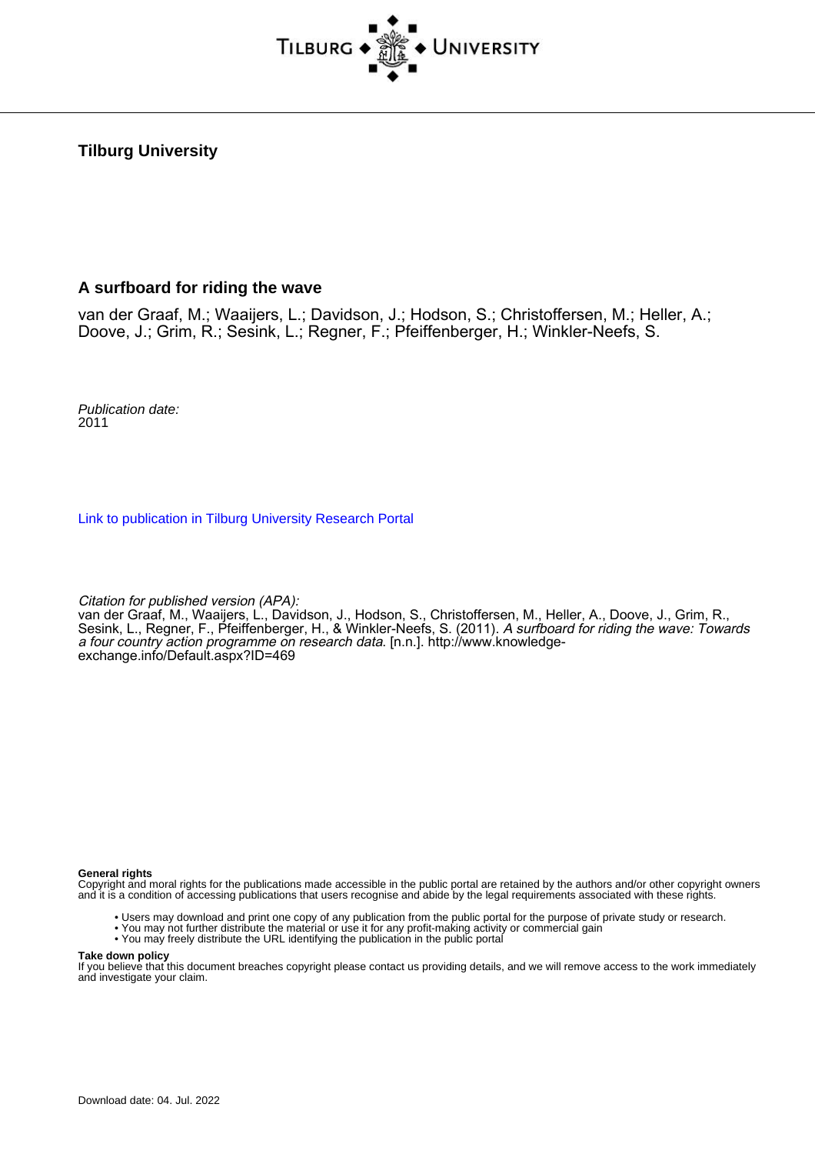

# **Tilburg University**

# **A surfboard for riding the wave**

van der Graaf, M.; Waaijers, L.; Davidson, J.; Hodson, S.; Christoffersen, M.; Heller, A.; Doove, J.; Grim, R.; Sesink, L.; Regner, F.; Pfeiffenberger, H.; Winkler-Neefs, S.

Publication date: 2011

[Link to publication in Tilburg University Research Portal](https://research.tilburguniversity.edu/en/publications/e92d4a7c-2ed4-41db-a983-f6726955e828)

Citation for published version (APA):

van der Graaf, M., Waaijers, L., Davidson, J., Hodson, S., Christoffersen, M., Heller, A., Doove, J., Grim, R., Sesink, L., Regner, F., Pfeiffenberger, H., & Winkler-Neefs, S. (2011). A surfboard for riding the wave: Towards a four country action programme on research data. [n.n.]. [http://www.knowledge](http://www.knowledge-exchange.info/Default.aspx?ID=469)[exchange.info/Default.aspx?ID=469](http://www.knowledge-exchange.info/Default.aspx?ID=469)

#### **General rights**

Copyright and moral rights for the publications made accessible in the public portal are retained by the authors and/or other copyright owners and it is a condition of accessing publications that users recognise and abide by the legal requirements associated with these rights.

- Users may download and print one copy of any publication from the public portal for the purpose of private study or research.
- You may not further distribute the material or use it for any profit-making activity or commercial gain
- You may freely distribute the URL identifying the publication in the public portal

#### **Take down policy**

If you believe that this document breaches copyright please contact us providing details, and we will remove access to the work immediately and investigate your claim.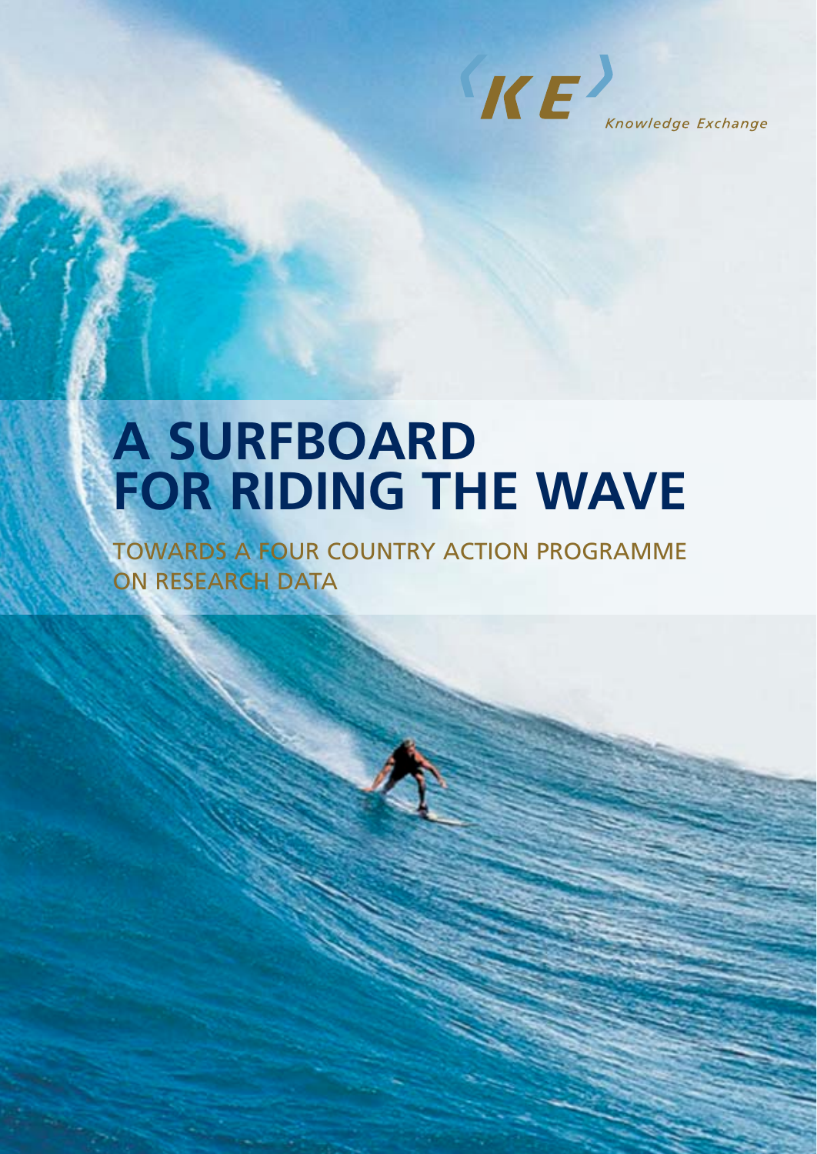

# **A SURFBOARD FOR RIDING THE WAVE**

TOWARDS A FOUR COUNTRY ACTION PROGRAMME ON RESEARCH DATA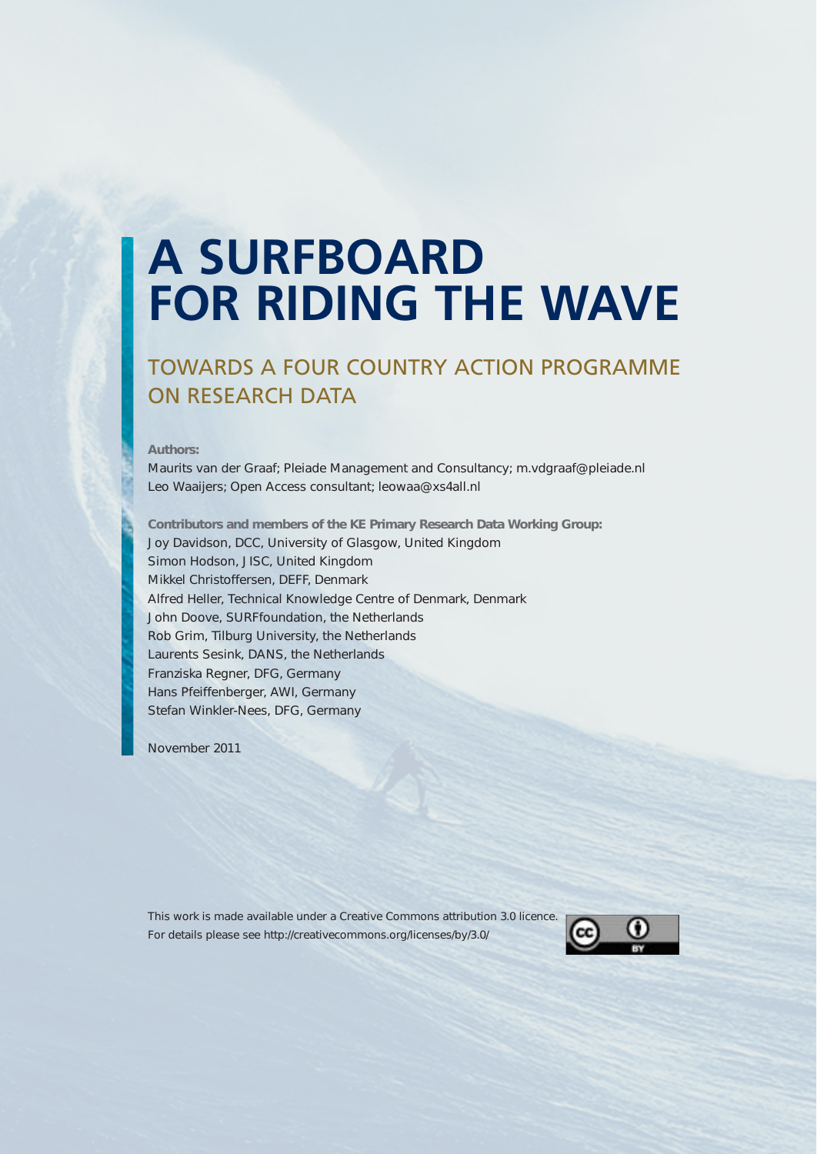# **A SURFBOARD FOR RIDING THE WAVE**

# TOWARDS A FOUR COUNTRY ACTION PROGRAMME ON RESEARCH DATA

#### **Authors:**

Maurits van der Graaf; Pleiade Management and Consultancy; m.vdgraaf@pleiade.nl Leo Waaijers; Open Access consultant; leowaa@xs4all.nl

**Contributors and members of the KE Primary Research Data Working Group:** Joy Davidson, DCC, University of Glasgow, United Kingdom Simon Hodson, JISC, United Kingdom Mikkel Christoffersen, DEFF, Denmark Alfred Heller, Technical Knowledge Centre of Denmark, Denmark John Doove, SURFfoundation, the Netherlands Rob Grim, Tilburg University, the Netherlands Laurents Sesink, DANS, the Netherlands Franziska Regner, DFG, Germany Hans Pfeiffenberger, AWI, Germany Stefan Winkler-Nees, DFG, Germany

November 2011

This work is made available under a Creative Commons attribution 3.0 licence. For details please see http://creativecommons.org/licenses/by/3.0/

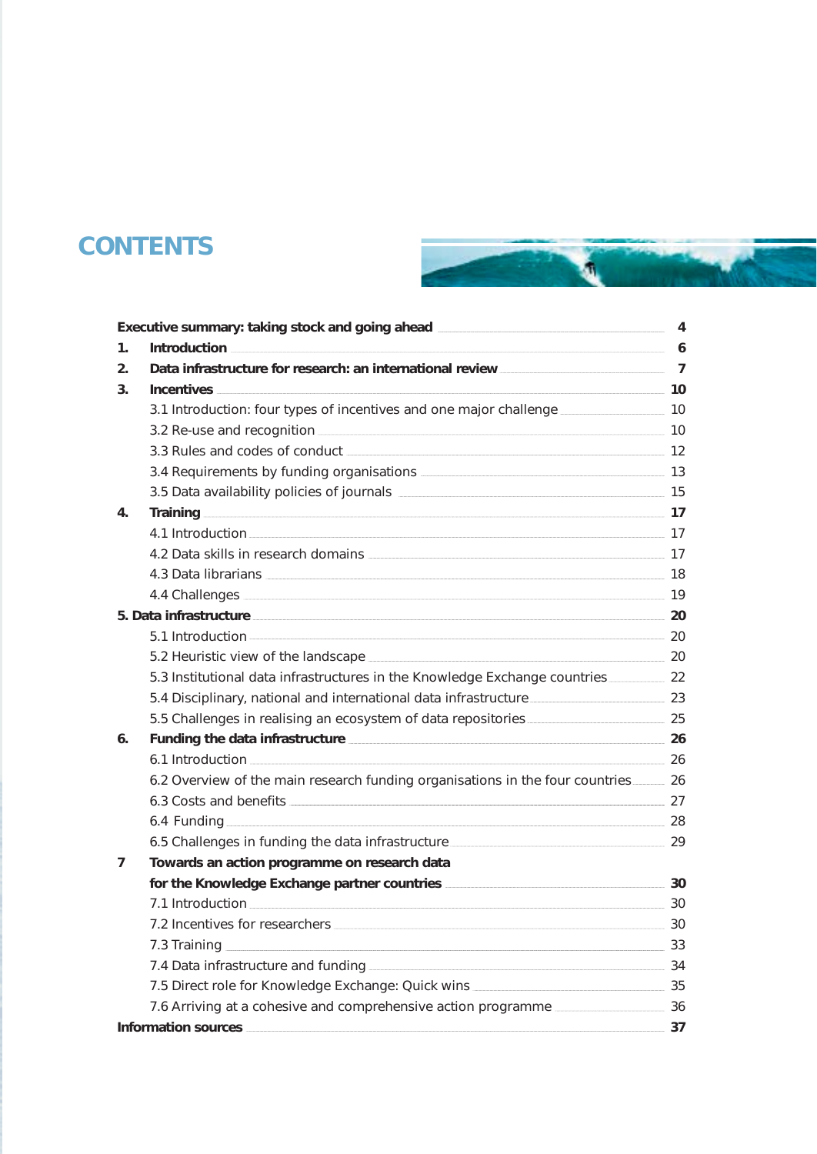# **CONTENTS**



|    | Executive summary: taking stock and going ahead <b>________________________________</b> _____           |  |
|----|---------------------------------------------------------------------------------------------------------|--|
| 1. |                                                                                                         |  |
| 2. |                                                                                                         |  |
| 3. | Incentives                                                                                              |  |
|    | 3.1 Introduction: four types of incentives and one major challenge _________________________________ 10 |  |
|    |                                                                                                         |  |
|    |                                                                                                         |  |
|    |                                                                                                         |  |
|    |                                                                                                         |  |
| 4. |                                                                                                         |  |
|    |                                                                                                         |  |
|    |                                                                                                         |  |
|    |                                                                                                         |  |
|    |                                                                                                         |  |
|    |                                                                                                         |  |
|    |                                                                                                         |  |
|    |                                                                                                         |  |
|    | 5.3 Institutional data infrastructures in the Knowledge Exchange countries __________ 22                |  |
|    |                                                                                                         |  |
|    |                                                                                                         |  |
| 6. |                                                                                                         |  |
|    |                                                                                                         |  |
|    | 6.2 Overview of the main research funding organisations in the four countries _____ 26                  |  |
|    |                                                                                                         |  |
|    | 6.4 Funding 28 28                                                                                       |  |
|    |                                                                                                         |  |
| 7  | Towards an action programme on research data                                                            |  |
|    |                                                                                                         |  |
|    |                                                                                                         |  |
|    |                                                                                                         |  |
|    |                                                                                                         |  |
|    |                                                                                                         |  |
|    |                                                                                                         |  |
|    | 7.6 Arriving at a cohesive and comprehensive action programme ___________________ 36                    |  |
|    |                                                                                                         |  |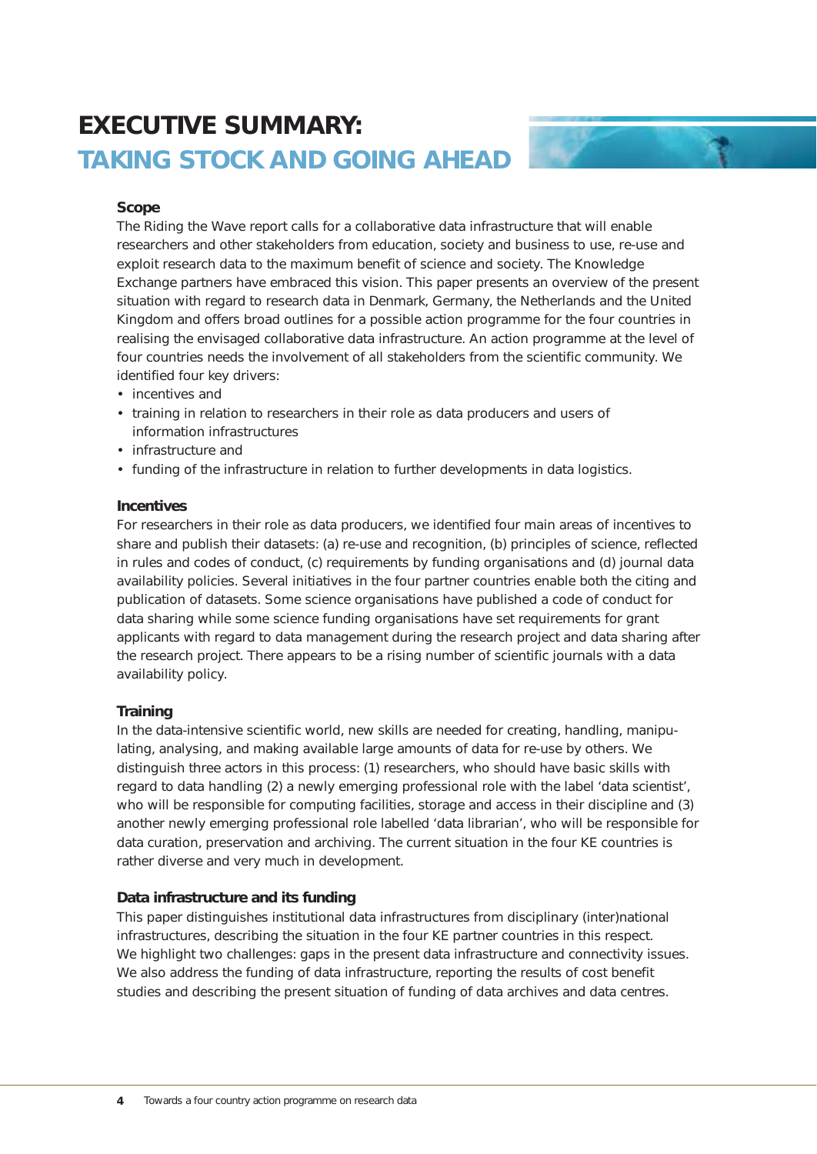# **EXECUTIVE SUMMARY: TAKING STOCK AND GOING AHEAD**

# **Scope**

The *Riding the Wave* report calls for a collaborative data infrastructure that will enable researchers and other stakeholders from education, society and business to use, re-use and exploit research data to the maximum benefit of science and society. The Knowledge Exchange partners have embraced this vision. This paper presents an overview of the present situation with regard to research data in Denmark, Germany, the Netherlands and the United Kingdom and offers broad outlines for a possible action programme for the four countries in realising the envisaged collaborative data infrastructure. An action programme at the level of four countries needs the involvement of all stakeholders from the scientific community. We identified four key drivers:

- incentives and
- training in relation to researchers in their role as data producers and users of information infrastructures
- infrastructure and
- funding of the infrastructure in relation to further developments in data logistics.

### **Incentives**

For researchers in their role as data producers, we identified four main areas of incentives to share and publish their datasets: (a) re-use and recognition, (b) principles of science, reflected in rules and codes of conduct, (c) requirements by funding organisations and (d) journal data availability policies. Several initiatives in the four partner countries enable both the citing and publication of datasets. Some science organisations have published a code of conduct for data sharing while some science funding organisations have set requirements for grant applicants with regard to data management during the research project and data sharing after the research project. There appears to be a rising number of scientific journals with a data availability policy.

### **Training**

In the data-intensive scientific world, new skills are needed for creating, handling, manipulating, analysing, and making available large amounts of data for re-use by others. We distinguish three actors in this process: (1) researchers, who should have basic skills with regard to data handling (2) a newly emerging professional role with the label 'data scientist', who will be responsible for computing facilities, storage and access in their discipline and (3) another newly emerging professional role labelled 'data librarian', who will be responsible for data curation, preservation and archiving. The current situation in the four KE countries is rather diverse and very much in development.

### **Data infrastructure and its funding**

This paper distinguishes institutional data infrastructures from disciplinary (inter)national infrastructures, describing the situation in the four KE partner countries in this respect. We highlight two challenges: gaps in the present data infrastructure and connectivity issues. We also address the funding of data infrastructure, reporting the results of cost benefit studies and describing the present situation of funding of data archives and data centres.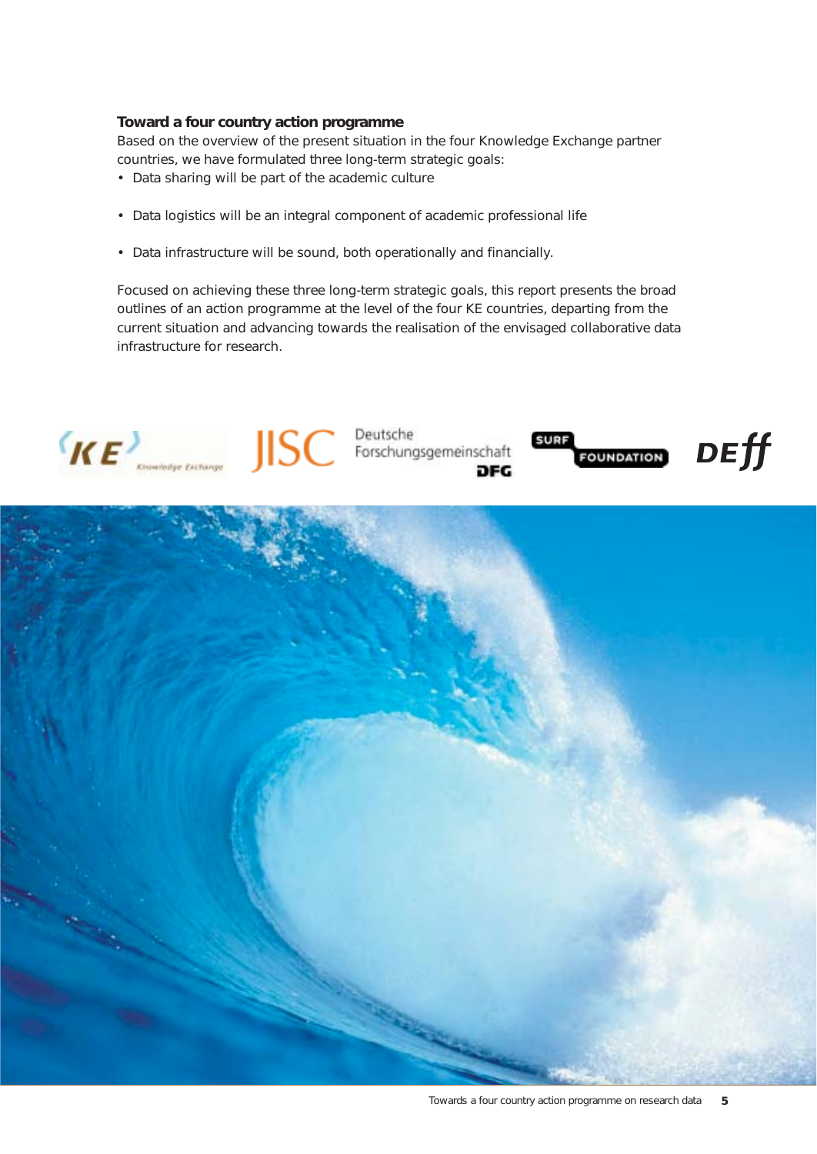### **Toward a four country action programme**

Based on the overview of the present situation in the four Knowledge Exchange partner countries, we have formulated three long-term strategic goals:

- Data sharing will be part of the academic culture
- Data logistics will be an integral component of academic professional life
- Data infrastructure will be sound, both operationally and financially.

Focused on achieving these three long-term strategic goals, this report presents the broad outlines of an action programme at the level of the four KE countries, departing from the current situation and advancing towards the realisation of the envisaged collaborative data infrastructure for research.

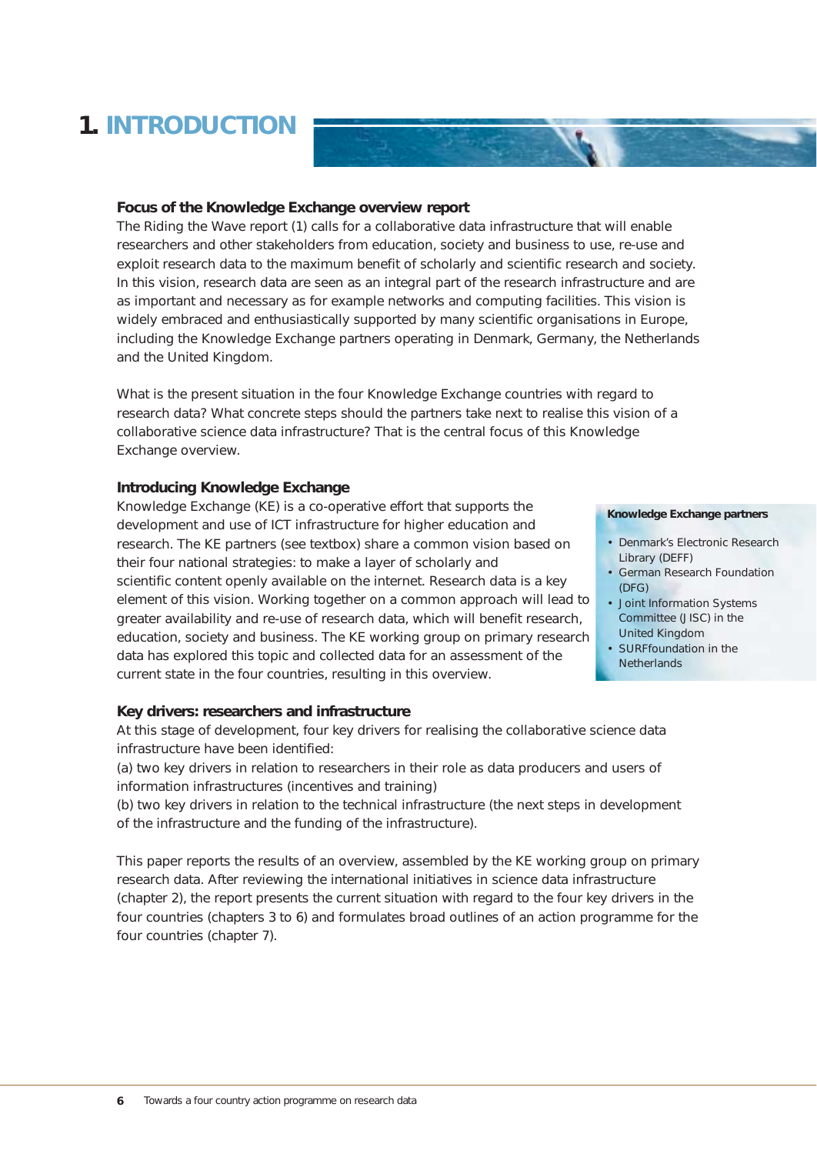# **1. INTRODUCTION**

### **Focus of the Knowledge Exchange overview report**

The *Riding the Wave* report (1) calls for a collaborative data infrastructure that will enable researchers and other stakeholders from education, society and business to use, re-use and exploit research data to the maximum benefit of scholarly and scientific research and society. In this vision, research data are seen as an integral part of the research infrastructure and are as important and necessary as for example networks and computing facilities. This vision is widely embraced and enthusiastically supported by many scientific organisations in Europe, including the Knowledge Exchange partners operating in Denmark, Germany, the Netherlands and the United Kingdom.

What is the present situation in the four Knowledge Exchange countries with regard to research data? What concrete steps should the partners take next to realise this vision of a collaborative science data infrastructure? That is the central focus of this Knowledge Exchange overview.

# **Introducing Knowledge Exchange**

Knowledge Exchange (KE) is a co-operative effort that supports the development and use of ICT infrastructure for higher education and research. The KE partners (see textbox) share a common vision based on their four national strategies: to make a layer of scholarly and scientific content openly available on the internet. Research data is a key element of this vision. Working together on a common approach will lead to greater availability and re-use of research data, which will benefit research, education, society and business. The KE working group on primary research data has explored this topic and collected data for an assessment of the current state in the four countries, resulting in this overview.

#### **Knowledge Exchange partners**

- Denmark's Electronic Research Library (DEFF)
- German Research Foundation (DFG)
- Joint Information Systems Committee (JISC) in the United Kingdom
- SURFfoundation in the **Netherlands**

### **Key drivers: researchers and infrastructure**

At this stage of development, four key drivers for realising the collaborative science data infrastructure have been identified:

(a) two key drivers in relation to researchers in their role as data producers and users of information infrastructures (incentives and training)

(b) two key drivers in relation to the technical infrastructure (the next steps in development of the infrastructure and the funding of the infrastructure).

This paper reports the results of an overview, assembled by the KE working group on primary research data. After reviewing the international initiatives in science data infrastructure (chapter 2), the report presents the current situation with regard to the four key drivers in the four countries (chapters 3 to 6) and formulates broad outlines of an action programme for the four countries (chapter 7).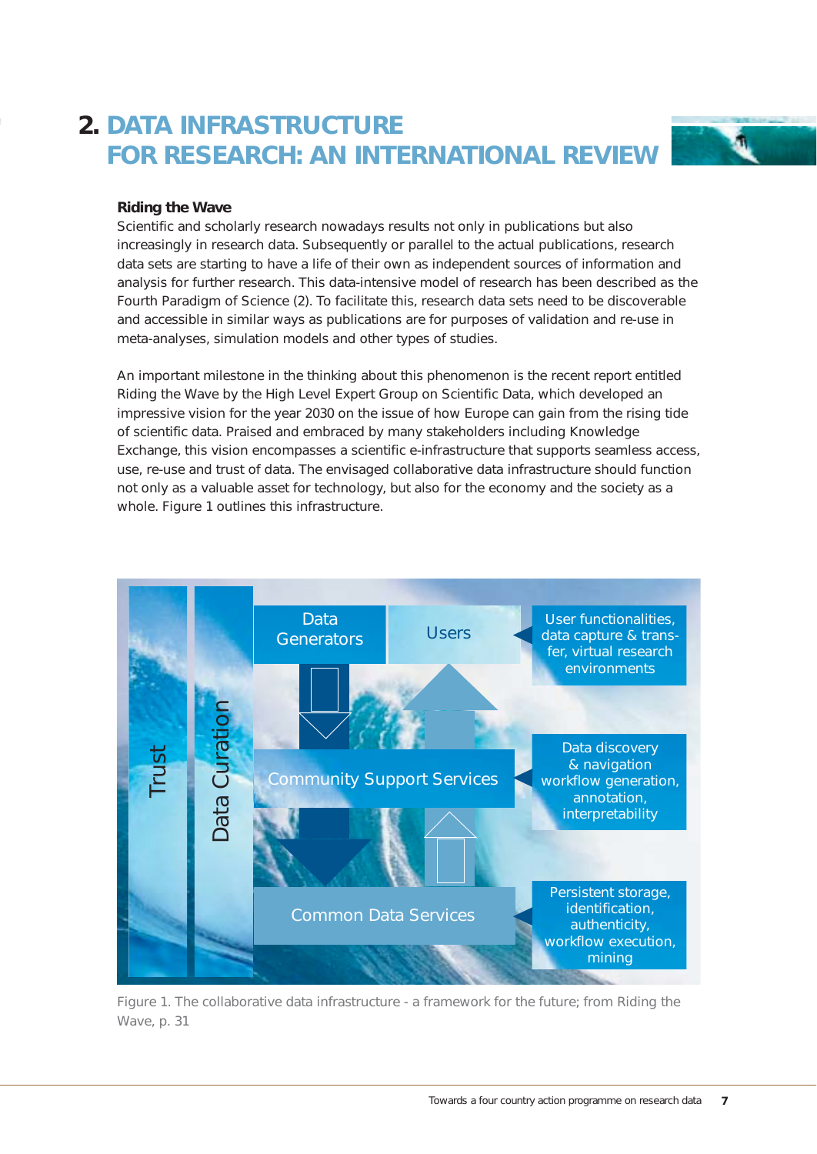# **2. DATA INFRASTRUCTURE FOR RESEARCH: AN INTERNATIONAL REVIEW**



Scientific and scholarly research nowadays results not only in publications but also increasingly in research data. Subsequently or parallel to the actual publications, research data sets are starting to have a life of their own as independent sources of information and analysis for further research. This data-intensive model of research has been described as the Fourth Paradigm of Science (2). To facilitate this, research data sets need to be discoverable and accessible in similar ways as publications are for purposes of validation and re-use in meta-analyses, simulation models and other types of studies.

An important milestone in the thinking about this phenomenon is the recent report entitled Riding the Wave by the High Level Expert Group on Scientific Data, which developed an impressive vision for the year 2030 on the issue of how Europe can gain from the rising tide of scientific data. Praised and embraced by many stakeholders including Knowledge Exchange, this vision encompasses a scientific e-infrastructure that supports seamless access, use, re-use and trust of data. The envisaged collaborative data infrastructure should function not only as a valuable asset for technology, but also for the economy and the society as a whole. Figure 1 outlines this infrastructure.



Figure 1. The collaborative data infrastructure - a framework for the future; from *Riding the Wave*, p. 31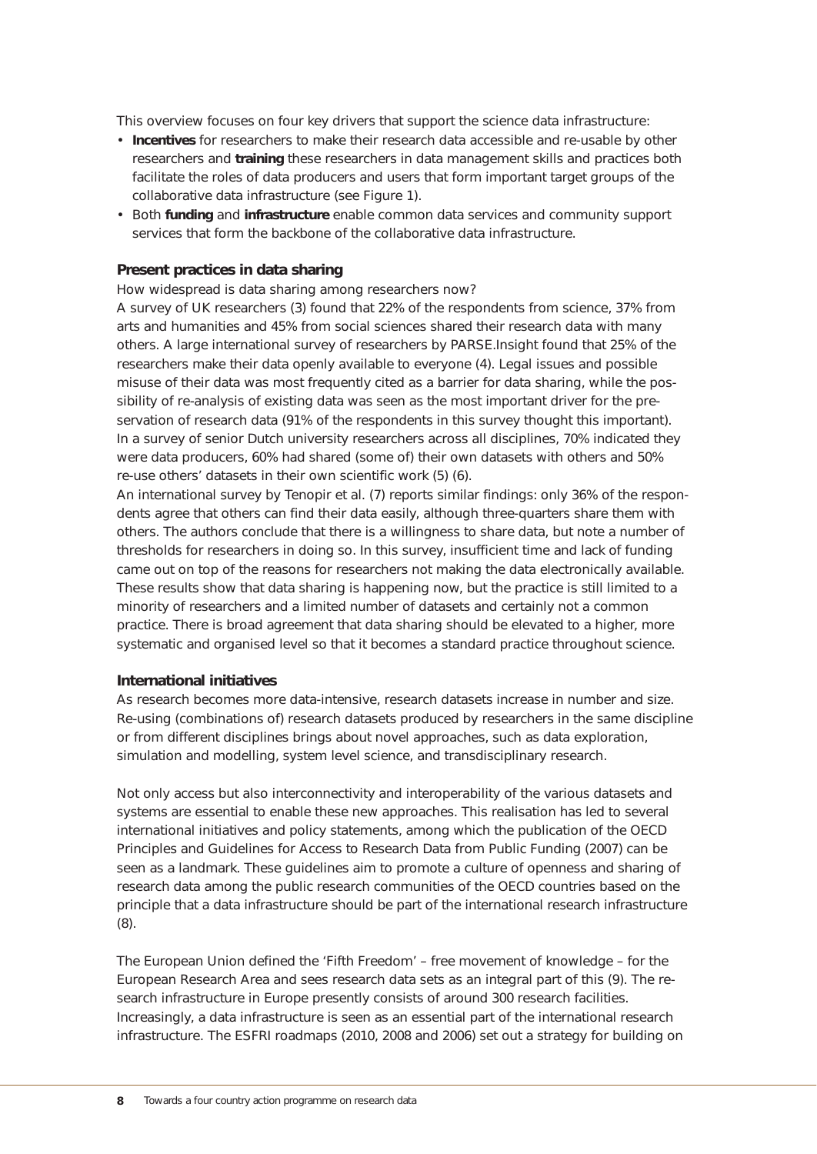This overview focuses on four key drivers that support the science data infrastructure:

- **Incentives** for researchers to make their research data accessible and re-usable by other researchers and **training** these researchers in data management skills and practices both facilitate the roles of data producers and users that form important target groups of the collaborative data infrastructure (see Figure 1).
- Both **funding** and **infrastructure** enable common data services and community support services that form the backbone of the collaborative data infrastructure.

# **Present practices in data sharing**

How widespread is data sharing among researchers now?

A survey of UK researchers (3) found that 22% of the respondents from science, 37% from arts and humanities and 45% from social sciences shared their research data with many others. A large international survey of researchers by PARSE.Insight found that 25% of the researchers make their data openly available to everyone (4). Legal issues and possible misuse of their data was most frequently cited as a barrier for data sharing, while the possibility of re-analysis of existing data was seen as the most important driver for the preservation of research data (91% of the respondents in this survey thought this important). In a survey of senior Dutch university researchers across all disciplines, 70% indicated they were data producers, 60% had shared (some of) their own datasets with others and 50% re-use others' datasets in their own scientific work (5) (6).

An international survey by Tenopir et al. (7) reports similar findings: only 36% of the respondents agree that others can find their data easily, although three-quarters share them with others. The authors conclude that there is a willingness to share data, but note a number of thresholds for researchers in doing so. In this survey, insufficient time and lack of funding came out on top of the reasons for researchers not making the data electronically available. These results show that data sharing is happening now, but the practice is still limited to a minority of researchers and a limited number of datasets and certainly not a common practice. There is broad agreement that data sharing should be elevated to a higher, more systematic and organised level so that it becomes a standard practice throughout science.

# **International initiatives**

As research becomes more data-intensive, research datasets increase in number and size. Re-using (combinations of) research datasets produced by researchers in the same discipline or from different disciplines brings about novel approaches, such as data exploration, simulation and modelling, system level science, and transdisciplinary research.

Not only access but also interconnectivity and interoperability of the various datasets and systems are essential to enable these new approaches. This realisation has led to several international initiatives and policy statements, among which the publication of the *OECD Principles and Guidelines for Access to Research Data from Public Funding* (2007) can be seen as a landmark. These guidelines aim to promote a culture of openness and sharing of research data among the public research communities of the OECD countries based on the principle that a data infrastructure should be part of the international research infrastructure (8).

The European Union defined the 'Fifth Freedom' – free movement of knowledge – for the European Research Area and sees research data sets as an integral part of this (9). The research infrastructure in Europe presently consists of around 300 research facilities. Increasingly, a data infrastructure is seen as an essential part of the international research infrastructure. The ESFRI roadmaps (2010, 2008 and 2006) set out a strategy for building on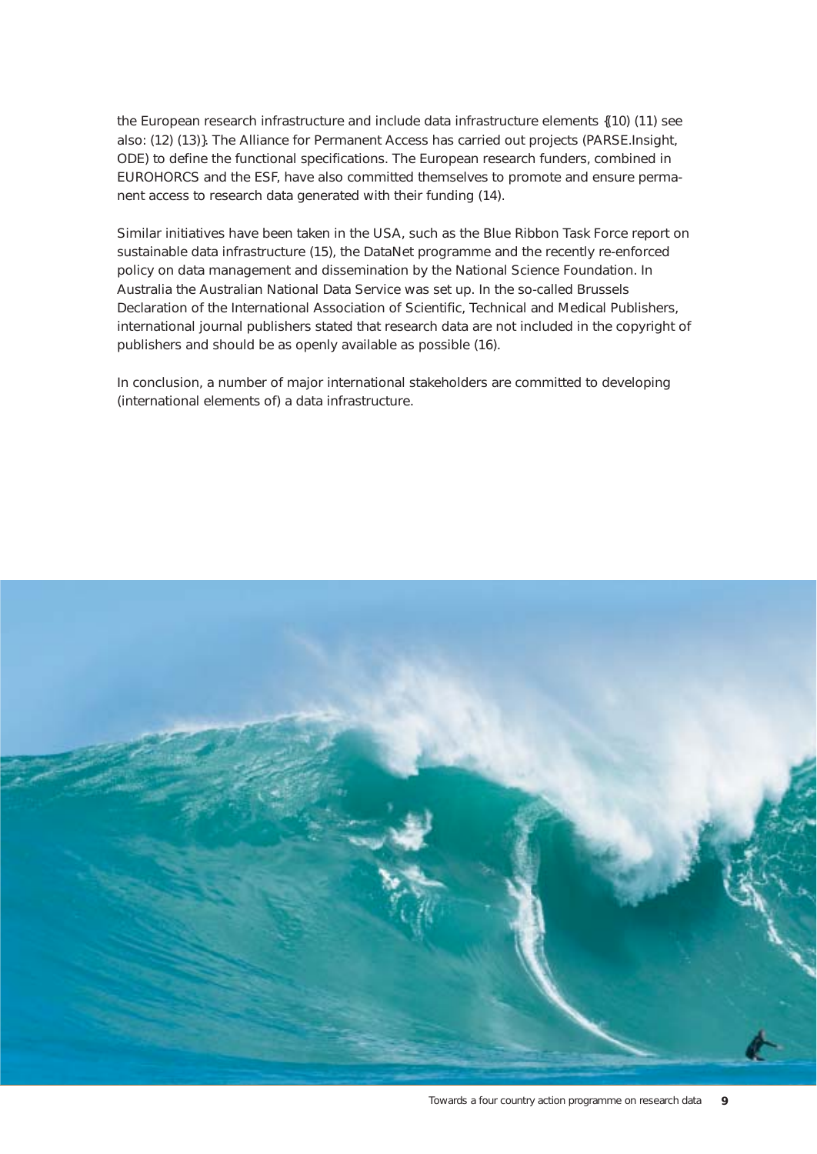the European research infrastructure and include data infrastructure elements {(10) (11) see also: (12) (13)}. The Alliance for Permanent Access has carried out projects (PARSE.Insight, ODE) to define the functional specifications. The European research funders, combined in EUROHORCS and the ESF, have also committed themselves to promote and ensure permanent access to research data generated with their funding (14).

Similar initiatives have been taken in the USA, such as the Blue Ribbon Task Force report on sustainable data infrastructure (15), the DataNet programme and the recently re-enforced policy on data management and dissemination by the National Science Foundation. In Australia the Australian National Data Service was set up. In the so-called Brussels Declaration of the International Association of Scientific, Technical and Medical Publishers, international journal publishers stated that research data are not included in the copyright of publishers and should be as openly available as possible (16).

In conclusion, a number of major international stakeholders are committed to developing (international elements of) a data infrastructure.

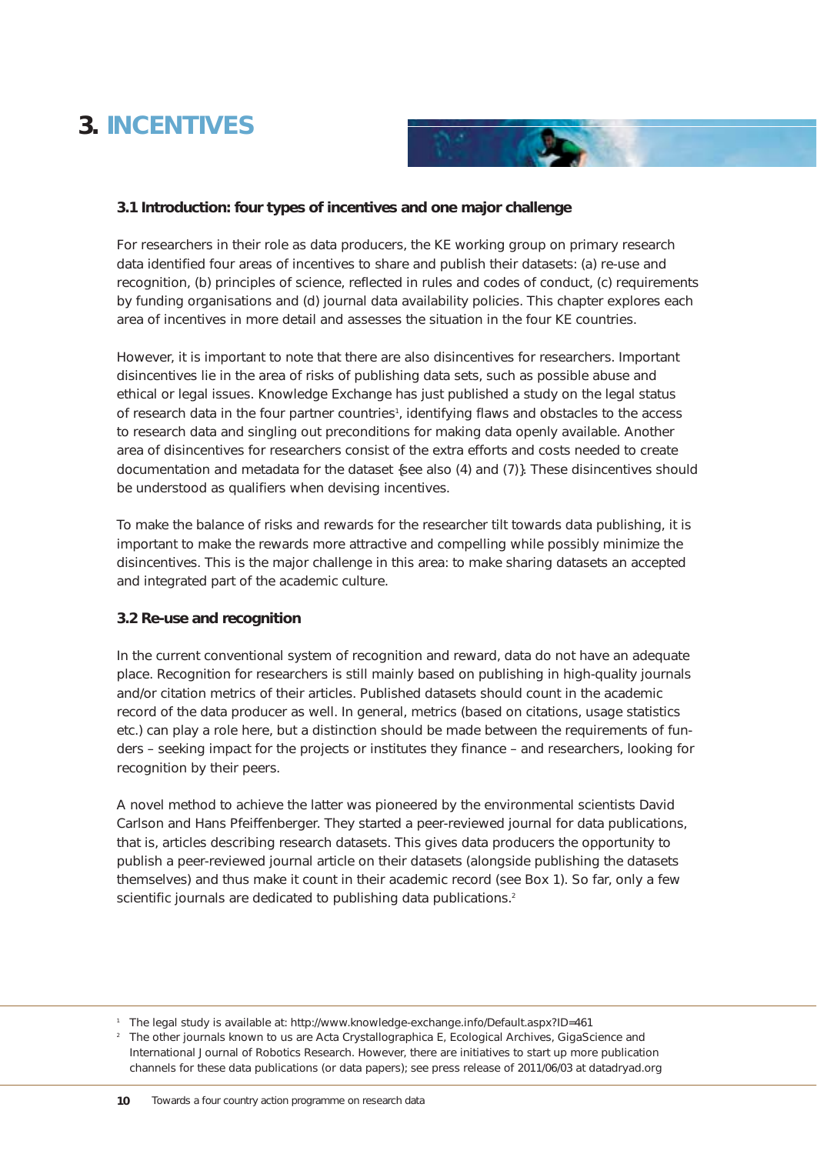# **3. INCENTIVES**

# **3.1 Introduction: four types of incentives and one major challenge**

For researchers in their role as data producers, the KE working group on primary research data identified four areas of incentives to share and publish their datasets: (a) re-use and recognition, (b) principles of science, reflected in rules and codes of conduct, (c) requirements by funding organisations and (d) journal data availability policies. This chapter explores each area of incentives in more detail and assesses the situation in the four KE countries.

However, it is important to note that there are also disincentives for researchers. Important disincentives lie in the area of risks of publishing data sets, such as possible abuse and ethical or legal issues. Knowledge Exchange has just published a study on the legal status of research data in the four partner countries<sup>1</sup>, identifying flaws and obstacles to the access to research data and singling out preconditions for making data openly available. Another area of disincentives for researchers consist of the extra efforts and costs needed to create documentation and metadata for the dataset {see also (4) and (7)}. These disincentives should be understood as qualifiers when devising incentives.

To make the balance of risks and rewards for the researcher tilt towards data publishing, it is important to make the rewards more attractive and compelling while possibly minimize the disincentives. This is the major challenge in this area: to make sharing datasets an accepted and integrated part of the academic culture.

# **3.2 Re-use and recognition**

In the current conventional system of recognition and reward, data do not have an adequate place. Recognition for researchers is still mainly based on publishing in high-quality journals and/or citation metrics of their articles. Published datasets should count in the academic record of the data producer as well. In general, metrics (based on citations, usage statistics etc.) can play a role here, but a distinction should be made between the requirements of funders – seeking impact for the projects or institutes they finance – and researchers, looking for recognition by their peers.

A novel method to achieve the latter was pioneered by the environmental scientists David Carlson and Hans Pfeiffenberger. They started a peer-reviewed journal for data publications, that is, articles describing research datasets. This gives data producers the opportunity to publish a peer-reviewed journal article on their datasets (alongside publishing the datasets themselves) and thus make it count in their academic record (see Box 1). So far, only a few scientific journals are dedicated to publishing data publications.<sup>2</sup>

<sup>1</sup> The legal study is available at: http://www.knowledge-exchange.info/Default.aspx?ID=461

<sup>2</sup> The other journals known to us are *Acta Crystallographica E*, *Ecological Archives*, *GigaScience* and *International Journal of Robotics Research*. However, there are initiatives to start up more publication channels for these data publications (or data papers); see press release of 2011/06/03 at datadryad.org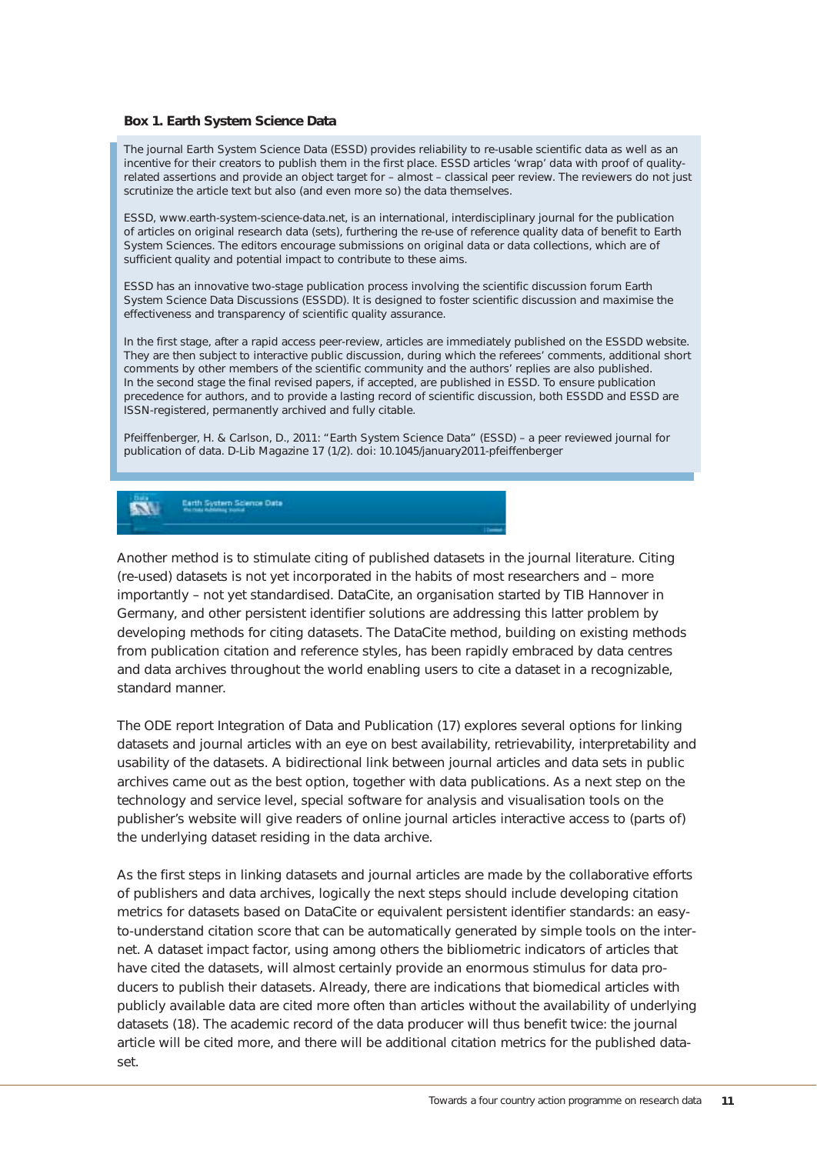#### **Box 1. Earth System Science Data**

The journal *Earth System Science Data* (ESSD) provides reliability to re-usable scientific data as well as an incentive for their creators to publish them in the first place. ESSD articles 'wrap' data with proof of qualityrelated assertions and provide an object target for – almost – classical peer review. The reviewers do not just scrutinize the article text but also (and even more so) the data themselves.

ESSD, www.earth-system-science-data.net, is an international, interdisciplinary journal for the publication of articles on original research data (sets), furthering the re-use of reference quality data of benefit to Earth System Sciences. The editors encourage submissions on original data or data collections, which are of sufficient quality and potential impact to contribute to these aims.

ESSD has an innovative two-stage publication process involving the scientific discussion forum Earth System Science Data Discussions (ESSDD). It is designed to foster scientific discussion and maximise the effectiveness and transparency of scientific quality assurance.

In the first stage, after a rapid access peer-review, articles are immediately published on the ESSDD website. They are then subject to interactive public discussion, during which the referees' comments, additional short comments by other members of the scientific community and the authors' replies are also published. In the second stage the final revised papers, if accepted, are published in ESSD. To ensure publication precedence for authors, and to provide a lasting record of scientific discussion, both ESSDD and ESSD are ISSN-registered, permanently archived and fully citable.

Pfeiffenberger, H. & Carlson, D., 2011: "Earth System Science Data" (ESSD) – a peer reviewed journal for publication of data. D-Lib Magazine 17 (1/2). doi: 10.1045/january2011-pfeiffenberger

#### Barth System Science Data **SNL**

Another method is to stimulate citing of published datasets in the journal literature. Citing (re-used) datasets is not yet incorporated in the habits of most researchers and – more importantly – not yet standardised. DataCite, an organisation started by TIB Hannover in Germany, and other persistent identifier solutions are addressing this latter problem by developing methods for citing datasets. The DataCite method, building on existing methods from publication citation and reference styles, has been rapidly embraced by data centres and data archives throughout the world enabling users to cite a dataset in a recognizable, standard manner.

The ODE report *Integration of Data and Publication* (17) explores several options for linking datasets and journal articles with an eye on best availability, retrievability, interpretability and usability of the datasets. A bidirectional link between journal articles and data sets in public archives came out as the best option, together with data publications. As a next step on the technology and service level, special software for analysis and visualisation tools on the publisher's website will give readers of online journal articles interactive access to (parts of) the underlying dataset residing in the data archive.

As the first steps in linking datasets and journal articles are made by the collaborative efforts of publishers and data archives, logically the next steps should include developing citation metrics for datasets based on DataCite or equivalent persistent identifier standards: an easyto-understand citation score that can be automatically generated by simple tools on the internet. A dataset impact factor, using among others the bibliometric indicators of articles that have cited the datasets, will almost certainly provide an enormous stimulus for data producers to publish their datasets. Already, there are indications that biomedical articles with publicly available data are cited more often than articles without the availability of underlying datasets (18). The academic record of the data producer will thus benefit twice: the journal article will be cited more, and there will be additional citation metrics for the published dataset.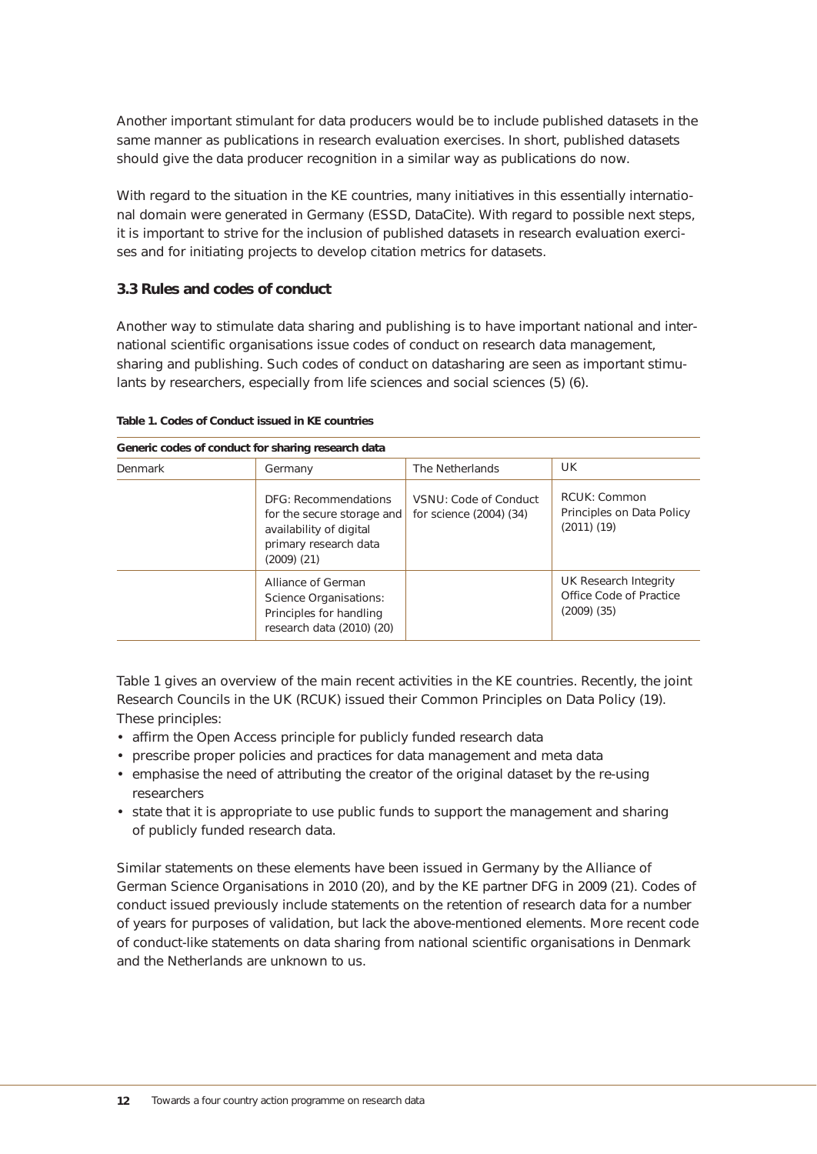Another important stimulant for data producers would be to include published datasets in the same manner as publications in research evaluation exercises. In short, published datasets should give the data producer recognition in a similar way as publications do now.

With regard to the situation in the KE countries, many initiatives in this essentially international domain were generated in Germany (ESSD, DataCite). With regard to possible next steps, it is important to strive for the inclusion of published datasets in research evaluation exercises and for initiating projects to develop citation metrics for datasets.

# **3.3 Rules and codes of conduct**

Another way to stimulate data sharing and publishing is to have important national and international scientific organisations issue codes of conduct on research data management, sharing and publishing. Such codes of conduct on datasharing are seen as important stimulants by researchers, especially from life sciences and social sciences (5) (6).

| Generic codes of conduct for sharing research data |                                                                                                                           |                                                  |                                                                     |  |  |
|----------------------------------------------------|---------------------------------------------------------------------------------------------------------------------------|--------------------------------------------------|---------------------------------------------------------------------|--|--|
| Denmark                                            | Germany                                                                                                                   | The Netherlands                                  | <b>UK</b>                                                           |  |  |
|                                                    | DFG: Recommendations<br>for the secure storage and<br>availability of digital<br>primary research data<br>$(2009)$ $(21)$ | VSNU: Code of Conduct<br>for science (2004) (34) | RCUK: Common<br>Principles on Data Policy<br>$(2011)$ $(19)$        |  |  |
|                                                    | Alliance of German<br>Science Organisations:<br>Principles for handling<br>research data (2010) (20)                      |                                                  | UK Research Integrity<br>Office Code of Practice<br>$(2009)$ $(35)$ |  |  |

**Table 1. Codes of Conduct issued in KE countries**

Table 1 gives an overview of the main recent activities in the KE countries. Recently, the joint Research Councils in the UK (RCUK) issued their *Common Principles on Data Policy* (19). These principles:

- affirm the Open Access principle for publicly funded research data
- prescribe proper policies and practices for data management and meta data
- emphasise the need of attributing the creator of the original dataset by the re-using researchers
- state that it is appropriate to use public funds to support the management and sharing of publicly funded research data.

Similar statements on these elements have been issued in Germany by the Alliance of German Science Organisations in 2010 (20), and by the KE partner DFG in 2009 (21). Codes of conduct issued previously include statements on the retention of research data for a number of years for purposes of validation, but lack the above-mentioned elements. More recent code of conduct-like statements on data sharing from national scientific organisations in Denmark and the Netherlands are unknown to us.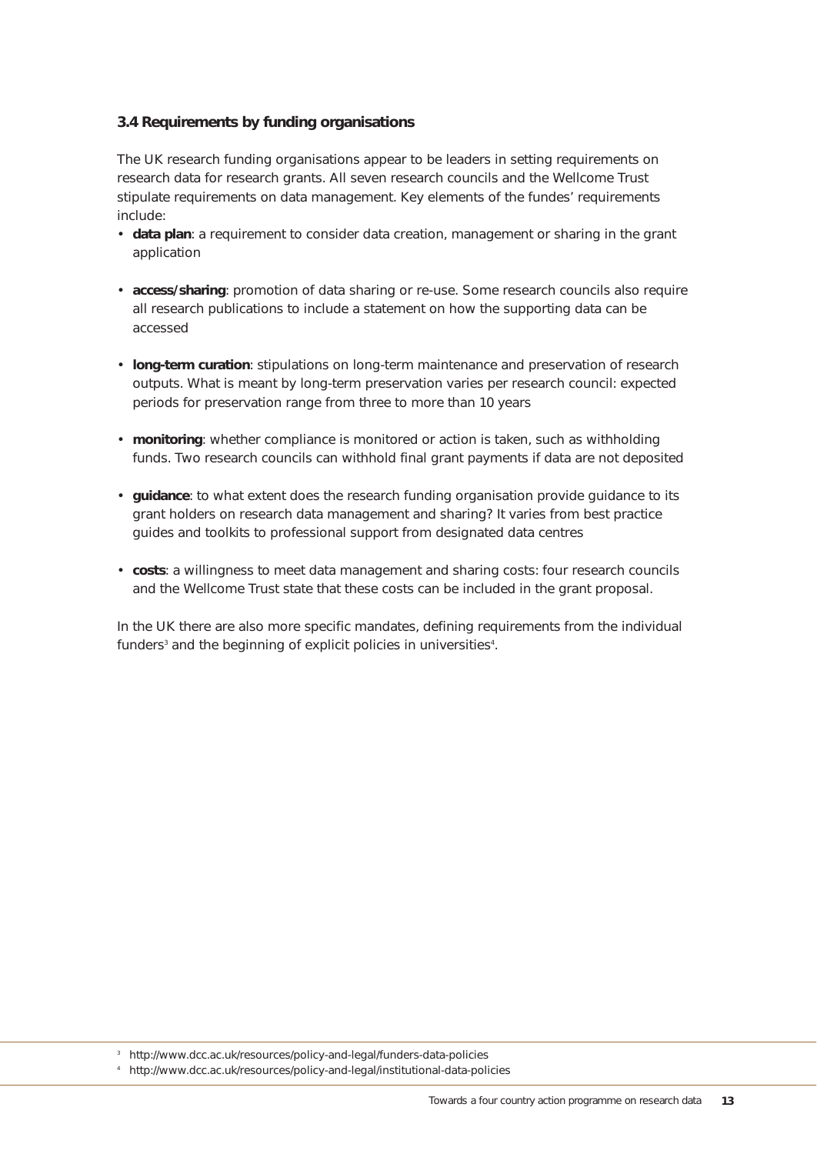# **3.4 Requirements by funding organisations**

The UK research funding organisations appear to be leaders in setting requirements on research data for research grants. All seven research councils and the Wellcome Trust stipulate requirements on data management. Key elements of the fundes' requirements include:

- **data plan**: a requirement to consider data creation, management or sharing in the grant application
- **access/sharing**: promotion of data sharing or re-use. Some research councils also require all research publications to include a statement on how the supporting data can be accessed
- **long-term curation**: stipulations on long-term maintenance and preservation of research outputs. What is meant by long-term preservation varies per research council: expected periods for preservation range from three to more than 10 years
- **monitoring**: whether compliance is monitored or action is taken, such as withholding funds. Two research councils can withhold final grant payments if data are not deposited
- **guidance**: to what extent does the research funding organisation provide guidance to its grant holders on research data management and sharing? It varies from best practice guides and toolkits to professional support from designated data centres
- **costs**: a willingness to meet data management and sharing costs: four research councils and the Wellcome Trust state that these costs can be included in the grant proposal.

In the UK there are also more specific mandates, defining requirements from the individual funders<sup>3</sup> and the beginning of explicit policies in universities $4$ .

<sup>3</sup> http://www.dcc.ac.uk/resources/policy-and-legal/funders-data-policies

<sup>4</sup> http://www.dcc.ac.uk/resources/policy-and-legal/institutional-data-policies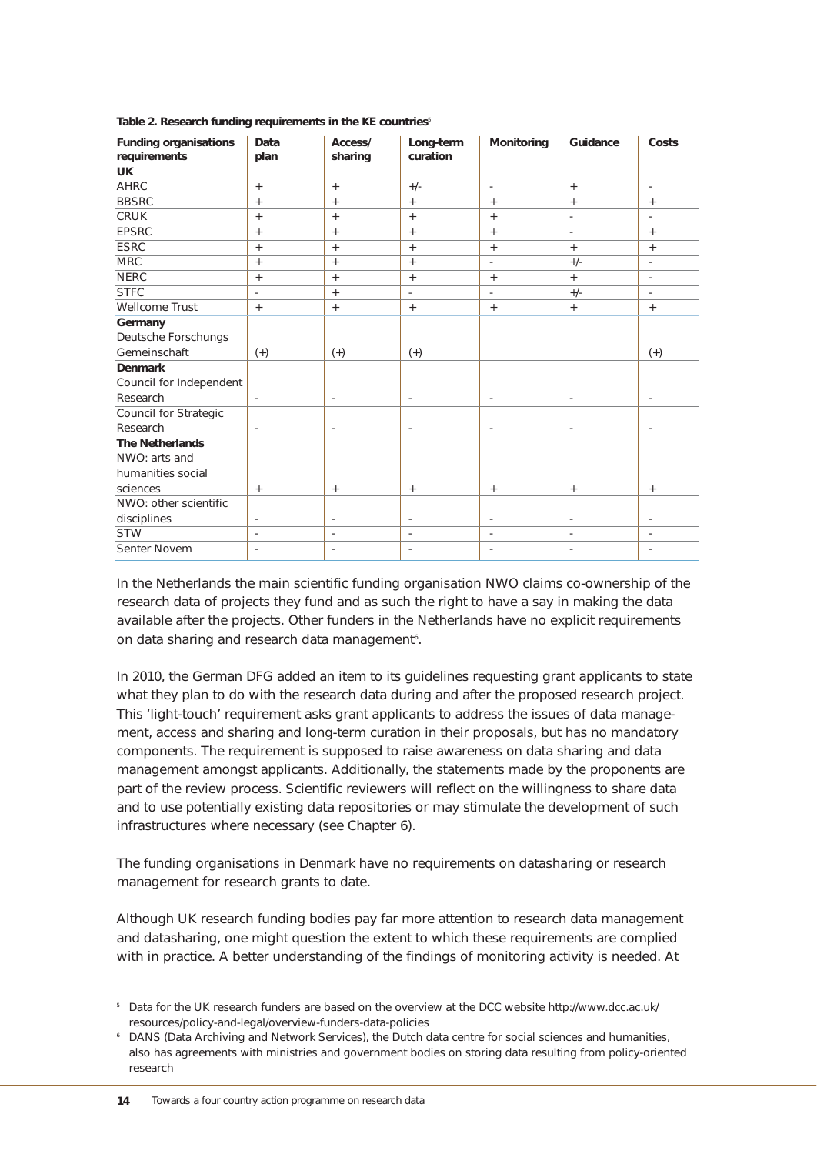| <b>Funding organisations</b><br>requirements | Data<br>plan                     | Access/<br>sharing       | Long-term<br>curation    | Monitoring               | Guidance                 | Costs                    |
|----------------------------------------------|----------------------------------|--------------------------|--------------------------|--------------------------|--------------------------|--------------------------|
| <b>UK</b>                                    |                                  |                          |                          |                          |                          |                          |
| <b>AHRC</b>                                  | $+$                              | $+$                      | $+/-$                    | $\overline{\phantom{0}}$ | $+$                      | $\overline{\phantom{a}}$ |
| <b>BBSRC</b>                                 | $\ddot{}$                        | $^{+}$                   | $+$                      | $+$                      | $+$                      | $^{+}$                   |
| <b>CRUK</b>                                  | $\ddot{}$                        | $+$                      | $+$                      | $\ddot{}$                | $\overline{\phantom{a}}$ | ٠                        |
| <b>EPSRC</b>                                 | $\ddot{}$                        | $\ddot{}$                | $^{+}$                   | $+$                      | $\overline{\phantom{a}}$ | $\ddot{}$                |
| <b>ESRC</b>                                  | $\ddot{}$                        | $+$                      | $^{+}$                   | $+$                      | $+$                      | $\ddot{}$                |
| <b>MRC</b>                                   | $\ddot{}$                        | $+$                      | $^{+}$                   | $\overline{a}$           | $+/-$                    | ٠                        |
| <b>NERC</b>                                  | $\begin{array}{c} + \end{array}$ | $+$                      | $^{+}$                   | $^{+}$                   | $+$                      | $\overline{\phantom{a}}$ |
| <b>STFC</b>                                  | $\overline{\phantom{a}}$         | $\ddot{}$                | $\tilde{\phantom{a}}$    | $\overline{\phantom{0}}$ | $+/-$                    | $\overline{\phantom{a}}$ |
| <b>Wellcome Trust</b>                        | $\ddot{}$                        | $^{+}$                   | $^{+}$                   | $+$                      | $+$                      | $\ddot{}$                |
| Germany                                      |                                  |                          |                          |                          |                          |                          |
| Deutsche Forschungs                          |                                  |                          |                          |                          |                          |                          |
| Gemeinschaft                                 | $^{(+)}$                         | $^{(+)}$                 | $^{(+)}$                 |                          |                          | $(+)$                    |
| <b>Denmark</b>                               |                                  |                          |                          |                          |                          |                          |
| Council for Independent                      |                                  |                          |                          |                          |                          |                          |
| Research                                     | $\overline{\phantom{a}}$         | $\overline{\phantom{a}}$ | $\overline{\phantom{a}}$ |                          | $\overline{\phantom{a}}$ | $\overline{\phantom{a}}$ |
| Council for Strategic                        |                                  |                          |                          |                          |                          |                          |
| Research                                     | $\overline{\phantom{a}}$         | $\sim$                   | $\overline{\phantom{a}}$ | ٠                        |                          | $\overline{\phantom{a}}$ |
| <b>The Netherlands</b>                       |                                  |                          |                          |                          |                          |                          |
| NWO: arts and                                |                                  |                          |                          |                          |                          |                          |
| humanities social                            |                                  |                          |                          |                          |                          |                          |
| sciences                                     | $\! + \!\!\!\!$                  | $^{+}$                   | $^{+}$                   | $^{+}$                   | $^{+}$                   | $^{+}$                   |
| NWO: other scientific                        |                                  |                          |                          |                          |                          |                          |
| disciplines                                  | $\overline{\phantom{a}}$         | $\sim$                   | $\overline{a}$           | ٠                        | $\blacksquare$           | $\overline{\phantom{a}}$ |
| <b>STW</b>                                   | $\overline{\phantom{a}}$         | $\overline{\phantom{a}}$ | $\overline{\phantom{a}}$ | ÷,                       | $\overline{\phantom{a}}$ | $\overline{\phantom{a}}$ |
| Senter Novem                                 | $\overline{\phantom{a}}$         | ٠                        |                          |                          |                          |                          |

Table 2. Research funding requirements in the KE countries<sup>5</sup>

In the Netherlands the main scientific funding organisation NWO claims co-ownership of the research data of projects they fund and as such the right to have a say in making the data available after the projects. Other funders in the Netherlands have no explicit requirements on data sharing and research data management<sup>6</sup>.

In 2010, the German DFG added an item to its guidelines requesting grant applicants to state what they plan to do with the research data during and after the proposed research project. This 'light-touch' requirement asks grant applicants to address the issues of data management, access and sharing and long-term curation in their proposals, but has no mandatory components. The requirement is supposed to raise awareness on data sharing and data management amongst applicants. Additionally, the statements made by the proponents are part of the review process. Scientific reviewers will reflect on the willingness to share data and to use potentially existing data repositories or may stimulate the development of such infrastructures where necessary (see Chapter 6).

The funding organisations in Denmark have no requirements on datasharing or research management for research grants to date.

Although UK research funding bodies pay far more attention to research data management and datasharing, one might question the extent to which these requirements are complied with in practice. A better understanding of the findings of monitoring activity is needed. At

<sup>5</sup> Data for the UK research funders are based on the overview at the DCC website http://www.dcc.ac.uk/ resources/policy-and-legal/overview-funders-data-policies

<sup>&</sup>lt;sup>6</sup> DANS (Data Archiving and Network Services), the Dutch data centre for social sciences and humanities, also has agreements with ministries and government bodies on storing data resulting from policy-oriented research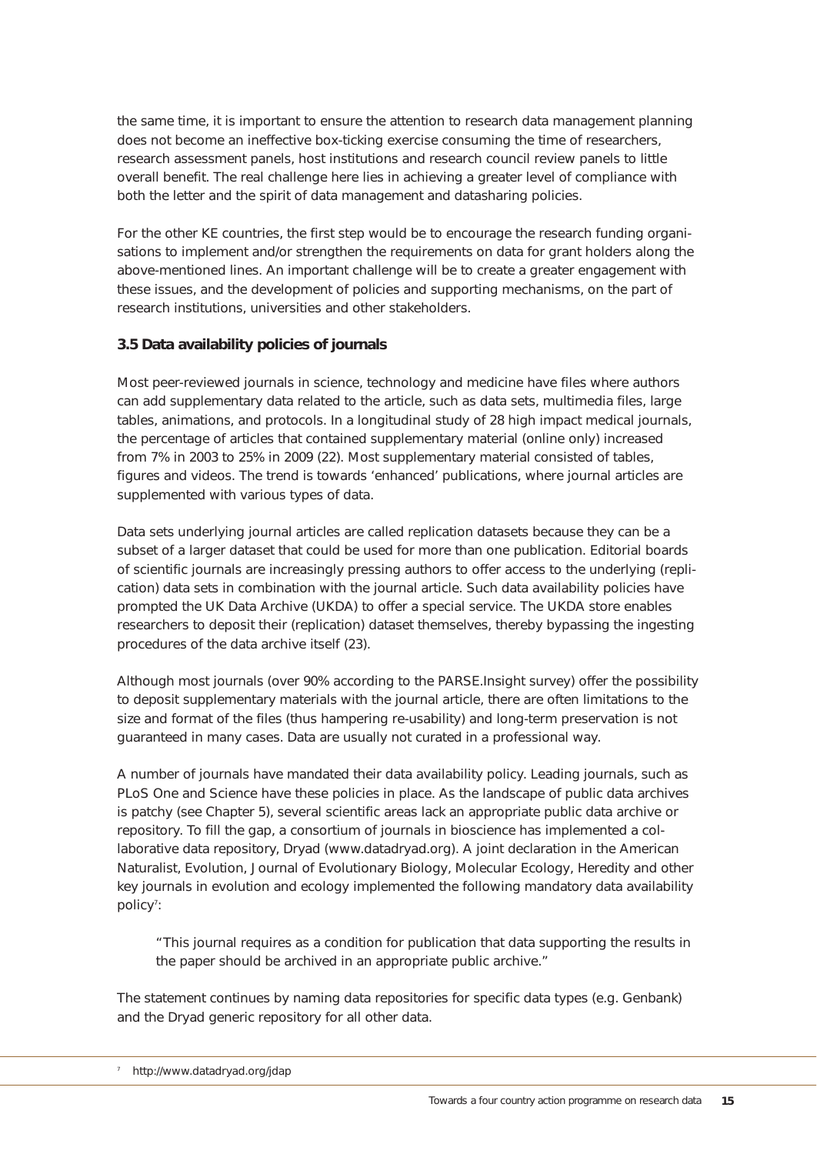the same time, it is important to ensure the attention to research data management planning does not become an ineffective box-ticking exercise consuming the time of researchers, research assessment panels, host institutions and research council review panels to little overall benefit. The real challenge here lies in achieving a greater level of compliance with both the letter and the spirit of data management and datasharing policies.

For the other KE countries, the first step would be to encourage the research funding organisations to implement and/or strengthen the requirements on data for grant holders along the above-mentioned lines. An important challenge will be to create a greater engagement with these issues, and the development of policies and supporting mechanisms, on the part of research institutions, universities and other stakeholders.

# **3.5 Data availability policies of journals**

Most peer-reviewed journals in science, technology and medicine have files where authors can add supplementary data related to the article, such as data sets, multimedia files, large tables, animations, and protocols. In a longitudinal study of 28 high impact medical journals, the percentage of articles that contained supplementary material (online only) increased from 7% in 2003 to 25% in 2009 (22). Most supplementary material consisted of tables, figures and videos. The trend is towards 'enhanced' publications, where journal articles are supplemented with various types of data.

Data sets underlying journal articles are called replication datasets because they can be a subset of a larger dataset that could be used for more than one publication. Editorial boards of scientific journals are increasingly pressing authors to offer access to the underlying (replication) data sets in combination with the journal article. Such data availability policies have prompted the UK Data Archive (UKDA) to offer a special service. The UKDA store enables researchers to deposit their (replication) dataset themselves, thereby bypassing the ingesting procedures of the data archive itself (23).

Although most journals (over 90% according to the PARSE.Insight survey) offer the possibility to deposit supplementary materials with the journal article, there are often limitations to the size and format of the files (thus hampering re-usability) and long-term preservation is not guaranteed in many cases. Data are usually not curated in a professional way.

A number of journals have mandated their data availability policy. Leading journals, such as *PLoS One* and *Science* have these policies in place. As the landscape of public data archives is patchy (see Chapter 5), several scientific areas lack an appropriate public data archive or repository. To fill the gap, a consortium of journals in bioscience has implemented a collaborative data repository, Dryad (www.datadryad.org). A joint declaration in the *American Naturalist*, *Evolution*, *Journal of Evolutionary Biology*, *Molecular Ecology*, *Heredity* and other key journals in evolution and ecology implemented the following mandatory data availability policy<sup>7</sup>:

"This journal requires as a condition for publication that data supporting the results in the paper should be archived in an appropriate public archive."

The statement continues by naming data repositories for specific data types (e.g. Genbank) and the Dryad generic repository for all other data.

<sup>7</sup> http://www.datadryad.org/jdap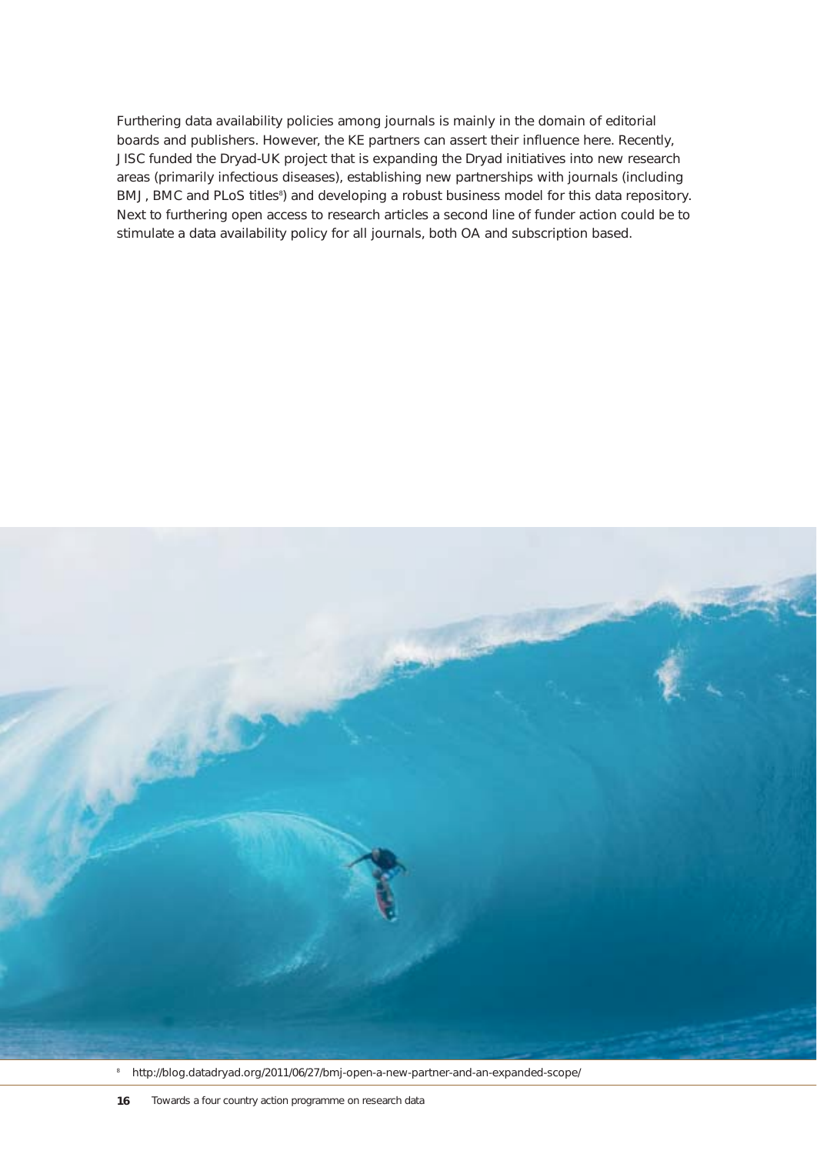Furthering data availability policies among journals is mainly in the domain of editorial boards and publishers. However, the KE partners can assert their influence here. Recently, JISC funded the Dryad-UK project that is expanding the Dryad initiatives into new research areas (primarily infectious diseases), establishing new partnerships with journals (including BMJ, BMC and PLoS titles<sup>8</sup>) and developing a robust business model for this data repository. Next to furthering open access to research articles a second line of funder action could be to stimulate a data availability policy for all journals, both OA and subscription based.



<sup>8</sup> http://blog.datadryad.org/2011/06/27/bmj-open-a-new-partner-and-an-expanded-scope/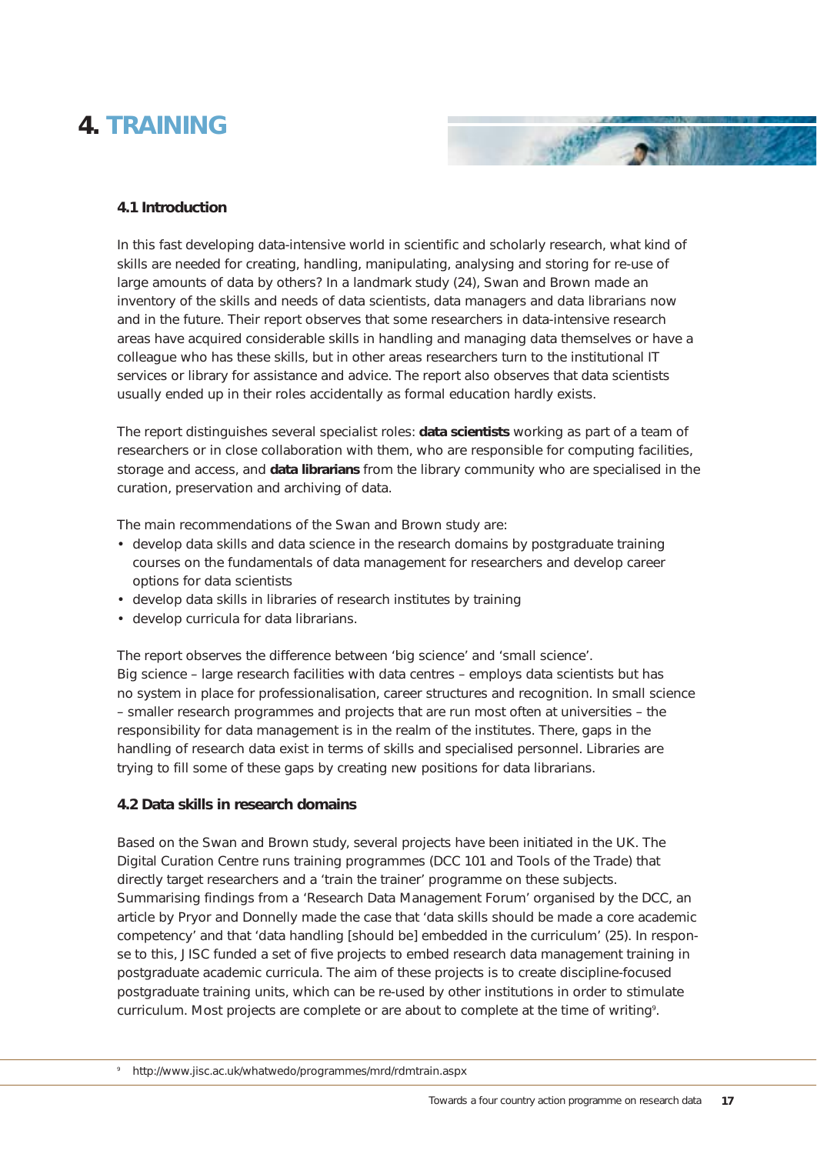# **4. TRAINING**



In this fast developing data-intensive world in scientific and scholarly research, what kind of skills are needed for creating, handling, manipulating, analysing and storing for re-use of large amounts of data by others? In a landmark study (24), Swan and Brown made an inventory of the skills and needs of data scientists, data managers and data librarians now and in the future. Their report observes that some researchers in data-intensive research areas have acquired considerable skills in handling and managing data themselves or have a colleague who has these skills, but in other areas researchers turn to the institutional IT services or library for assistance and advice. The report also observes that data scientists usually ended up in their roles accidentally as formal education hardly exists.

The report distinguishes several specialist roles: **data scientists** working as part of a team of researchers or in close collaboration with them, who are responsible for computing facilities, storage and access, and **data librarians** from the library community who are specialised in the curation, preservation and archiving of data.

The main recommendations of the Swan and Brown study are:

- develop data skills and data science in the research domains by postgraduate training courses on the fundamentals of data management for researchers and develop career options for data scientists
- develop data skills in libraries of research institutes by training
- develop curricula for data librarians.

The report observes the difference between 'big science' and 'small science'. Big science – large research facilities with data centres – employs data scientists but has no system in place for professionalisation, career structures and recognition. In small science – smaller research programmes and projects that are run most often at universities – the responsibility for data management is in the realm of the institutes. There, gaps in the handling of research data exist in terms of skills and specialised personnel. Libraries are trying to fill some of these gaps by creating new positions for data librarians.

# **4.2 Data skills in research domains**

Based on the Swan and Brown study, several projects have been initiated in the UK. The Digital Curation Centre runs training programmes (DCC 101 and Tools of the Trade) that directly target researchers and a 'train the trainer' programme on these subjects. Summarising findings from a 'Research Data Management Forum' organised by the DCC, an article by Pryor and Donnelly made the case that 'data skills should be made a core academic competency' and that 'data handling [should be] embedded in the curriculum' (25). In response to this, JISC funded a set of five projects to embed research data management training in postgraduate academic curricula. The aim of these projects is to create discipline-focused postgraduate training units, which can be re-used by other institutions in order to stimulate curriculum. Most projects are complete or are about to complete at the time of writing<sup>o</sup>.

<sup>9</sup> http://www.jisc.ac.uk/whatwedo/programmes/mrd/rdmtrain.aspx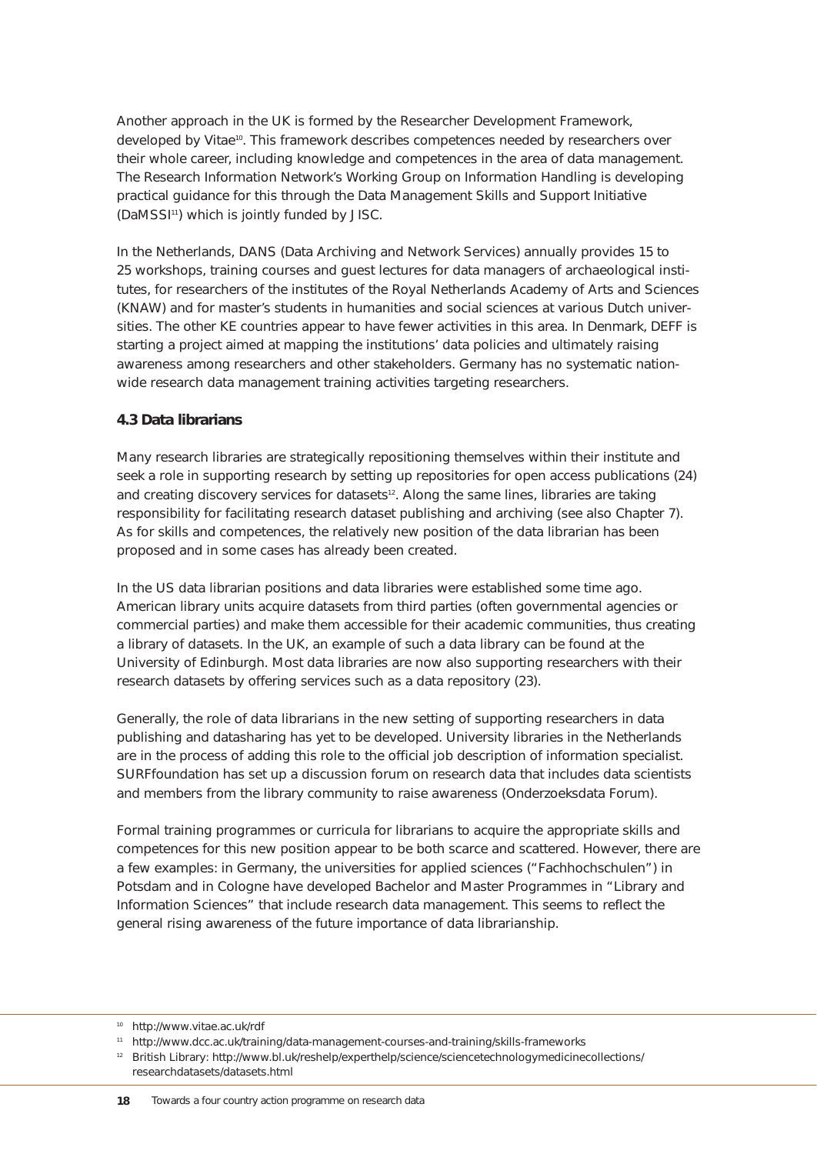Another approach in the UK is formed by the Researcher Development Framework, developed by Vitae<sup>10</sup>. This framework describes competences needed by researchers over their whole career, including knowledge and competences in the area of data management. The Research Information Network's Working Group on Information Handling is developing practical guidance for this through the Data Management Skills and Support Initiative (DaMSSI<sup>11</sup>) which is jointly funded by JISC.

In the Netherlands, DANS (Data Archiving and Network Services) annually provides 15 to 25 workshops, training courses and guest lectures for data managers of archaeological institutes, for researchers of the institutes of the Royal Netherlands Academy of Arts and Sciences (KNAW) and for master's students in humanities and social sciences at various Dutch universities. The other KE countries appear to have fewer activities in this area. In Denmark, DEFF is starting a project aimed at mapping the institutions' data policies and ultimately raising awareness among researchers and other stakeholders. Germany has no systematic nationwide research data management training activities targeting researchers.

# **4.3 Data librarians**

Many research libraries are strategically repositioning themselves within their institute and seek a role in supporting research by setting up repositories for open access publications (24) and creating discovery services for datasets<sup>12</sup>. Along the same lines, libraries are taking responsibility for facilitating research dataset publishing and archiving (see also Chapter 7). As for skills and competences, the relatively new position of the data librarian has been proposed and in some cases has already been created.

In the US data librarian positions and data libraries were established some time ago. American library units acquire datasets from third parties (often governmental agencies or commercial parties) and make them accessible for their academic communities, thus creating a library of datasets. In the UK, an example of such a data library can be found at the University of Edinburgh. Most data libraries are now also supporting researchers with their research datasets by offering services such as a data repository (23).

Generally, the role of data librarians in the new setting of supporting researchers in data publishing and datasharing has yet to be developed. University libraries in the Netherlands are in the process of adding this role to the official job description of information specialist. SURFfoundation has set up a discussion forum on research data that includes data scientists and members from the library community to raise awareness (*Onderzoeksdata Forum*).

Formal training programmes or curricula for librarians to acquire the appropriate skills and competences for this new position appear to be both scarce and scattered. However, there are a few examples: in Germany, the universities for applied sciences ("Fachhochschulen") in Potsdam and in Cologne have developed Bachelor and Master Programmes in "Library and Information Sciences" that include research data management. This seems to reflect the general rising awareness of the future importance of data librarianship.

<sup>10</sup> http://www.vitae.ac.uk/rdf

<sup>11</sup> http://www.dcc.ac.uk/training/data-management-courses-and-training/skills-frameworks <sup>12</sup> British Library: http://www.bl.uk/reshelp/experthelp/science/sciencetechnologymedicinecollections/ researchdatasets/datasets.html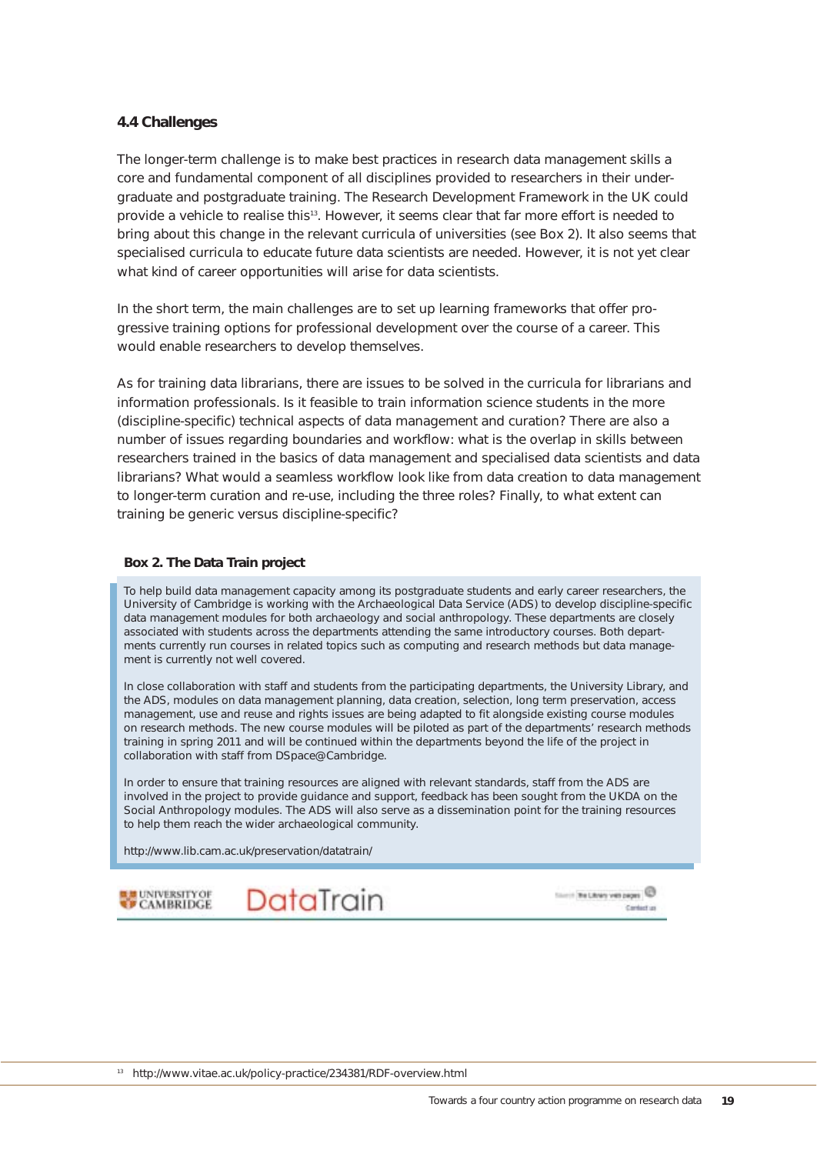# **4.4 Challenges**

The longer-term challenge is to make best practices in research data management skills a core and fundamental component of all disciplines provided to researchers in their undergraduate and postgraduate training. The Research Development Framework in the UK could provide a vehicle to realise this<sup>13</sup>. However, it seems clear that far more effort is needed to bring about this change in the relevant curricula of universities (see Box 2). It also seems that specialised curricula to educate future data scientists are needed. However, it is not yet clear what kind of career opportunities will arise for data scientists.

In the short term, the main challenges are to set up learning frameworks that offer progressive training options for professional development over the course of a career. This would enable researchers to develop themselves.

As for training data librarians, there are issues to be solved in the curricula for librarians and information professionals. Is it feasible to train information science students in the more (discipline-specific) technical aspects of data management and curation? There are also a number of issues regarding boundaries and workflow: what is the overlap in skills between researchers trained in the basics of data management and specialised data scientists and data librarians? What would a seamless workflow look like from data creation to data management to longer-term curation and re-use, including the three roles? Finally, to what extent can training be generic versus discipline-specific?

### **Box 2. The Data Train project**

To help build data management capacity among its postgraduate students and early career researchers, the University of Cambridge is working with the Archaeological Data Service (ADS) to develop discipline-specific data management modules for both archaeology and social anthropology. These departments are closely associated with students across the departments attending the same introductory courses. Both departments currently run courses in related topics such as computing and research methods but data management is currently not well covered.

In close collaboration with staff and students from the participating departments, the University Library, and the ADS, modules on data management planning, data creation, selection, long term preservation, access management, use and reuse and rights issues are being adapted to fit alongside existing course modules on research methods. The new course modules will be piloted as part of the departments' research methods training in spring 2011 and will be continued within the departments beyond the life of the project in collaboration with staff from DSpace@Cambridge.

In order to ensure that training resources are aligned with relevant standards, staff from the ADS are involved in the project to provide guidance and support, feedback has been sought from the UKDA on the Social Anthropology modules. The ADS will also serve as a dissemination point for the training resources to help them reach the wider archaeological community.

http://www.lib.cam.ac.uk/preservation/datatrain/



**DataTrain** 

Saint The Library vers pages Cartestus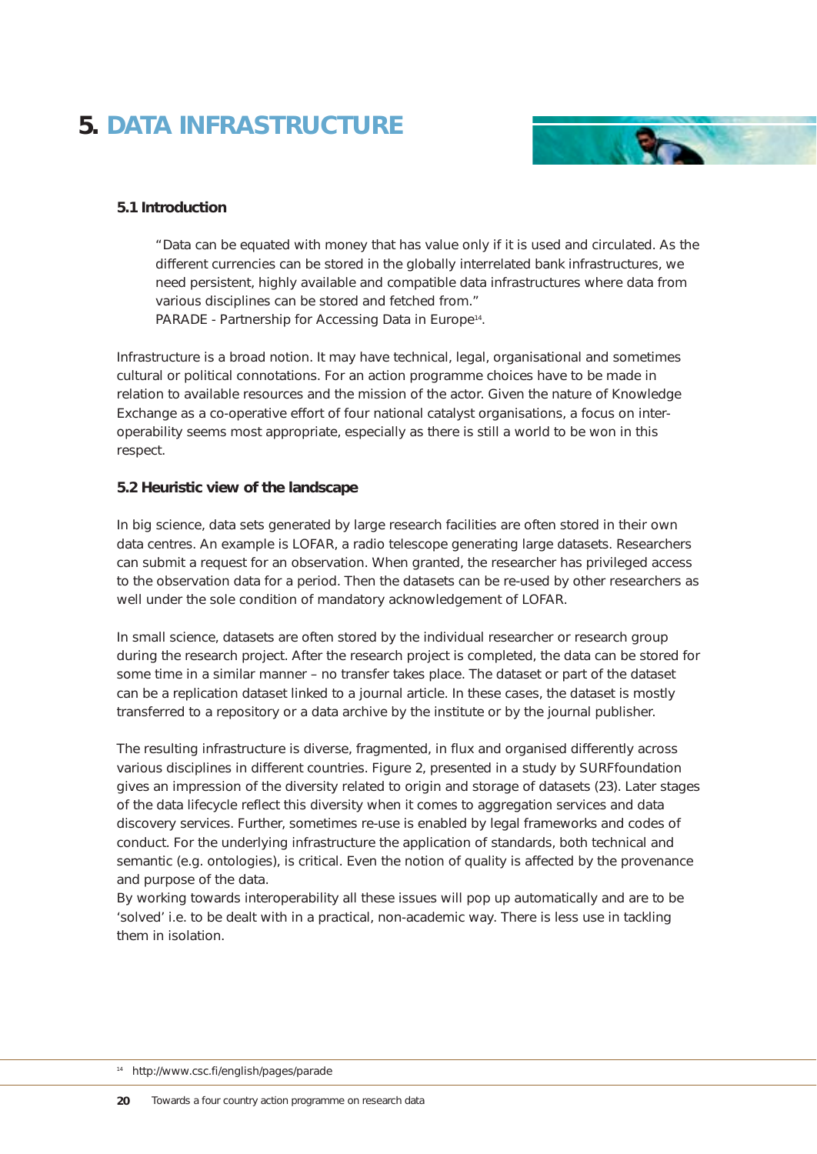# **5. DATA INFRASTRUCTURE**



# **5.1 Introduction**

"Data can be equated with money that has value only if it is used and circulated. As the different currencies can be stored in the globally interrelated bank infrastructures, we need persistent, highly available and compatible data infrastructures where data from various disciplines can be stored and fetched from." PARADE - Partnership for Accessing Data in Europe<sup>14</sup>.

Infrastructure is a broad notion. It may have technical, legal, organisational and sometimes cultural or political connotations. For an action programme choices have to be made in relation to available resources and the mission of the actor. Given the nature of Knowledge Exchange as a co-operative effort of four national catalyst organisations, a focus on interoperability seems most appropriate, especially as there is still a world to be won in this respect.

### **5.2 Heuristic view of the landscape**

In big science, data sets generated by large research facilities are often stored in their own data centres. An example is LOFAR, a radio telescope generating large datasets. Researchers can submit a request for an observation. When granted, the researcher has privileged access to the observation data for a period. Then the datasets can be re-used by other researchers as well under the sole condition of mandatory acknowledgement of LOFAR.

In small science, datasets are often stored by the individual researcher or research group during the research project. After the research project is completed, the data can be stored for some time in a similar manner – no transfer takes place. The dataset or part of the dataset can be a replication dataset linked to a journal article. In these cases, the dataset is mostly transferred to a repository or a data archive by the institute or by the journal publisher.

The resulting infrastructure is diverse, fragmented, in flux and organised differently across various disciplines in different countries. Figure 2, presented in a study by SURFfoundation gives an impression of the diversity related to origin and storage of datasets (23). Later stages of the data lifecycle reflect this diversity when it comes to aggregation services and data discovery services. Further, sometimes re-use is enabled by legal frameworks and codes of conduct. For the underlying infrastructure the application of standards, both technical and semantic (e.g. ontologies), is critical. Even the notion of quality is affected by the provenance and purpose of the data.

By working towards interoperability all these issues will pop up automatically and are to be 'solved' i.e. to be dealt with in a practical, non-academic way. There is less use in tackling them in isolation.

<sup>14</sup> http://www.csc.fi/english/pages/parade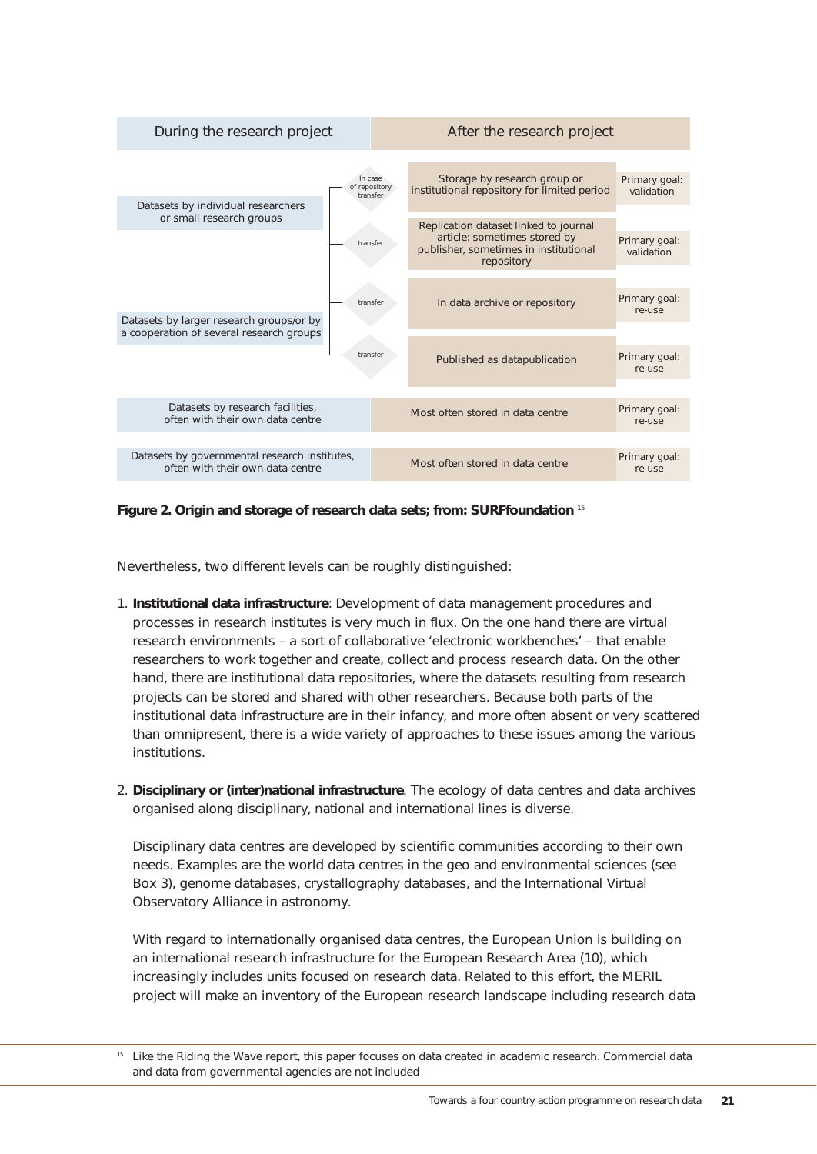| During the research project                                                          |                                      | After the research project                                                                                                   |                             |
|--------------------------------------------------------------------------------------|--------------------------------------|------------------------------------------------------------------------------------------------------------------------------|-----------------------------|
| Datasets by individual researchers                                                   | In case<br>of repository<br>transfer | Storage by research group or<br>institutional repository for limited period                                                  | Primary goal:<br>validation |
| or small research groups                                                             | transfer<br>transfer                 | Replication dataset linked to journal<br>article: sometimes stored by<br>publisher, sometimes in institutional<br>repository | Primary goal:<br>validation |
| Datasets by larger research groups/or by<br>a cooperation of several research groups |                                      | In data archive or repository                                                                                                | Primary goal:<br>re-use     |
|                                                                                      | transfer                             | Published as datapublication                                                                                                 | Primary goal:<br>re-use     |
| Datasets by research facilities,<br>often with their own data centre                 |                                      | Most often stored in data centre                                                                                             | Primary goal:<br>re-use     |
| Datasets by governmental research institutes,<br>often with their own data centre    |                                      | Most often stored in data centre                                                                                             | Primary goal:<br>re-use     |

**Figure 2. Origin and storage of research data sets; from: SURFfoundation** <sup>15</sup>

Nevertheless, two different levels can be roughly distinguished:

- 1. **Institutional data infrastructure**: Development of data management procedures and processes in research institutes is very much in flux. On the one hand there are virtual research environments – a sort of collaborative 'electronic workbenches' – that enable researchers to work together and create, collect and process research data. On the other hand, there are institutional data repositories, where the datasets resulting from research projects can be stored and shared with other researchers. Because both parts of the institutional data infrastructure are in their infancy, and more often absent or very scattered than omnipresent, there is a wide variety of approaches to these issues among the various institutions.
- 2. **Disciplinary or (inter)national infrastructure**. The ecology of data centres and data archives organised along disciplinary, national and international lines is diverse.

Disciplinary data centres are developed by scientific communities according to their own needs. Examples are the world data centres in the geo and environmental sciences (see Box 3), genome databases, crystallography databases, and the International Virtual Observatory Alliance in astronomy.

With regard to internationally organised data centres, the European Union is building on an international research infrastructure for the European Research Area (10), which increasingly includes units focused on research data. Related to this effort, the MERIL project will make an inventory of the European research landscape including research data

<sup>15</sup> Like the Riding the Wave report, this paper focuses on data created in academic research. Commercial data and data from governmental agencies are not included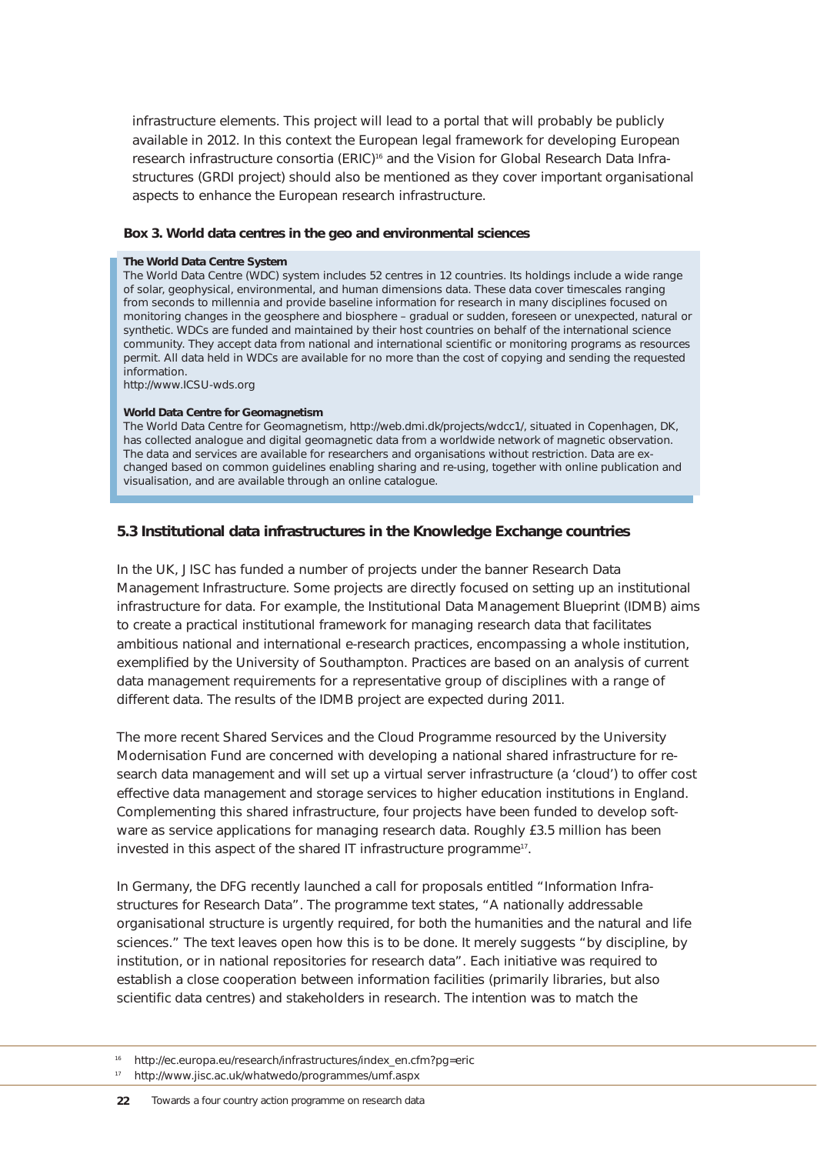infrastructure elements. This project will lead to a portal that will probably be publicly available in 2012. In this context the European legal framework for developing European research infrastructure consortia (ERIC)<sup>16</sup> and the Vision for Global Research Data Infrastructures (GRDI project) should also be mentioned as they cover important organisational aspects to enhance the European research infrastructure.

### **Box 3. World data centres in the geo and environmental sciences**

#### **The World Data Centre System**

The World Data Centre (WDC) system includes 52 centres in 12 countries. Its holdings include a wide range of solar, geophysical, environmental, and human dimensions data. These data cover timescales ranging from seconds to millennia and provide baseline information for research in many disciplines focused on monitoring changes in the geosphere and biosphere – gradual or sudden, foreseen or unexpected, natural or synthetic. WDCs are funded and maintained by their host countries on behalf of the international science community. They accept data from national and international scientific or monitoring programs as resources permit. All data held in WDCs are available for no more than the cost of copying and sending the requested information.

http://www.ICSU-wds.org

#### **World Data Centre for Geomagnetism**

The World Data Centre for Geomagnetism, http://web.dmi.dk/projects/wdcc1/, situated in Copenhagen, DK, has collected analogue and digital geomagnetic data from a worldwide network of magnetic observation. The data and services are available for researchers and organisations without restriction. Data are exchanged based on common guidelines enabling sharing and re-using, together with online publication and visualisation, and are available through an online catalogue.

# **5.3 Institutional data infrastructures in the Knowledge Exchange countries**

In the UK, JISC has funded a number of projects under the banner Research Data Management Infrastructure. Some projects are directly focused on setting up an institutional infrastructure for data. For example, the Institutional Data Management Blueprint (IDMB) aims to create a practical institutional framework for managing research data that facilitates ambitious national and international e-research practices, encompassing a whole institution, exemplified by the University of Southampton. Practices are based on an analysis of current data management requirements for a representative group of disciplines with a range of different data. The results of the IDMB project are expected during 2011.

The more recent Shared Services and the Cloud Programme resourced by the University Modernisation Fund are concerned with developing a national shared infrastructure for research data management and will set up a virtual server infrastructure (a 'cloud') to offer cost effective data management and storage services to higher education institutions in England. Complementing this shared infrastructure, four projects have been funded to develop software as service applications for managing research data. Roughly £3.5 million has been invested in this aspect of the shared IT infrastructure programme<sup>17</sup>.

In Germany, the DFG recently launched a call for proposals entitled "Information Infrastructures for Research Data". The programme text states, "A nationally addressable organisational structure is urgently required, for both the humanities and the natural and life sciences." The text leaves open how this is to be done. It merely suggests "by discipline, by institution, or in national repositories for research data". Each initiative was required to establish a close cooperation between information facilities (primarily libraries, but also scientific data centres) and stakeholders in research. The intention was to match the

<sup>17</sup> http://www.jisc.ac.uk/whatwedo/programmes/umf.aspx

<sup>16</sup> http://ec.europa.eu/research/infrastructures/index\_en.cfm?pg=eric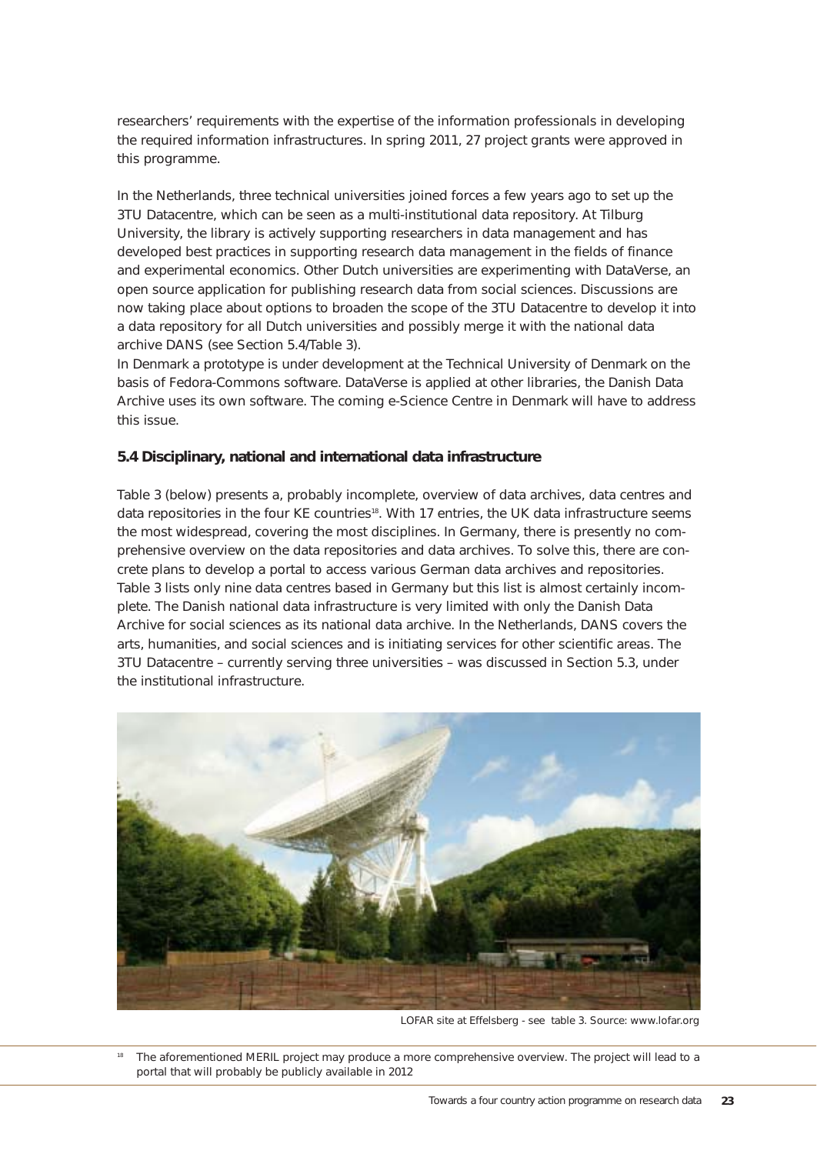researchers' requirements with the expertise of the information professionals in developing the required information infrastructures. In spring 2011, 27 project grants were approved in this programme.

In the Netherlands, three technical universities joined forces a few years ago to set up the 3TU Datacentre, which can be seen as a multi-institutional data repository. At Tilburg University, the library is actively supporting researchers in data management and has developed best practices in supporting research data management in the fields of finance and experimental economics. Other Dutch universities are experimenting with DataVerse, an open source application for publishing research data from social sciences. Discussions are now taking place about options to broaden the scope of the 3TU Datacentre to develop it into a data repository for all Dutch universities and possibly merge it with the national data archive DANS (see Section 5.4/Table 3).

In Denmark a prototype is under development at the Technical University of Denmark on the basis of Fedora-Commons software. DataVerse is applied at other libraries, the Danish Data Archive uses its own software. The coming e-Science Centre in Denmark will have to address this issue.

# **5.4 Disciplinary, national and international data infrastructure**

Table 3 (below) presents a, probably incomplete, overview of data archives, data centres and data repositories in the four KE countries<sup>18</sup>. With 17 entries, the UK data infrastructure seems the most widespread, covering the most disciplines. In Germany, there is presently no comprehensive overview on the data repositories and data archives. To solve this, there are concrete plans to develop a portal to access various German data archives and repositories. Table 3 lists only nine data centres based in Germany but this list is almost certainly incomplete. The Danish national data infrastructure is very limited with only the Danish Data Archive for social sciences as its national data archive. In the Netherlands, DANS covers the arts, humanities, and social sciences and is initiating services for other scientific areas. The 3TU Datacentre – currently serving three universities – was discussed in Section 5.3, under the institutional infrastructure.



LOFAR site at Effelsberg - see table 3. Source: www.lofar.org

<sup>18</sup> The aforementioned MERIL project may produce a more comprehensive overview. The project will lead to a portal that will probably be publicly available in 2012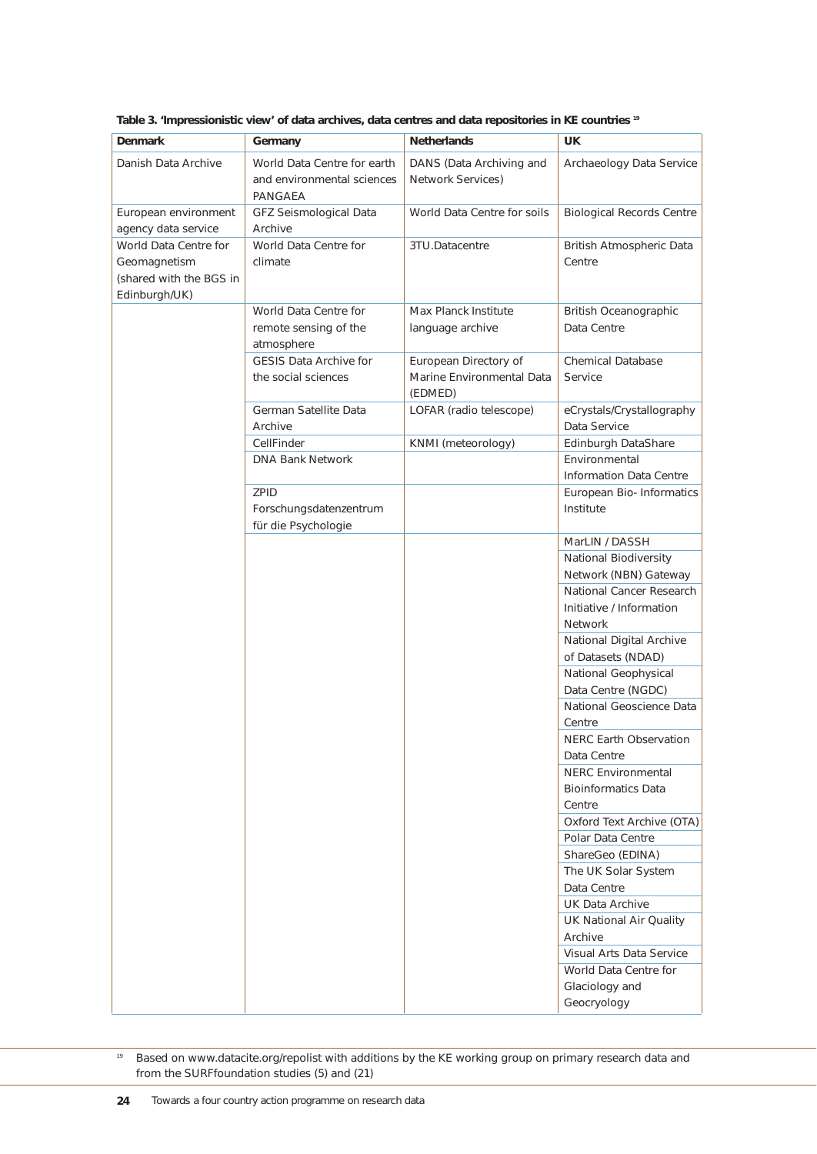| Denmark                                                                                                  | Germany                                                              | <b>Netherlands</b>                                            | UK                                                                     |
|----------------------------------------------------------------------------------------------------------|----------------------------------------------------------------------|---------------------------------------------------------------|------------------------------------------------------------------------|
| Danish Data Archive                                                                                      | World Data Centre for earth<br>and environmental sciences<br>PANGAEA | DANS (Data Archiving and<br><b>Network Services)</b>          | Archaeology Data Service                                               |
| European environment                                                                                     | GFZ Seismological Data<br>Archive                                    | World Data Centre for soils                                   | <b>Biological Records Centre</b>                                       |
| agency data service<br>World Data Centre for<br>Geomagnetism<br>(shared with the BGS in<br>Edinburgh/UK) | World Data Centre for<br>climate                                     | 3TU.Datacentre                                                | British Atmospheric Data<br>Centre                                     |
|                                                                                                          | World Data Centre for<br>remote sensing of the<br>atmosphere         | Max Planck Institute<br>language archive                      | British Oceanographic<br>Data Centre                                   |
|                                                                                                          | <b>GESIS Data Archive for</b><br>the social sciences                 | European Directory of<br>Marine Environmental Data<br>(EDMED) | <b>Chemical Database</b><br>Service                                    |
|                                                                                                          | German Satellite Data<br>Archive                                     | LOFAR (radio telescope)                                       | eCrystals/Crystallography<br>Data Service                              |
|                                                                                                          | CellFinder                                                           | KNMI (meteorology)                                            | Edinburgh DataShare                                                    |
|                                                                                                          | <b>DNA Bank Network</b>                                              |                                                               | Environmental                                                          |
|                                                                                                          | <b>ZPID</b>                                                          |                                                               | <b>Information Data Centre</b><br>European Bio-Informatics             |
|                                                                                                          | Forschungsdatenzentrum<br>für die Psychologie                        |                                                               | Institute                                                              |
|                                                                                                          |                                                                      |                                                               | MarLIN / DASSH                                                         |
|                                                                                                          |                                                                      |                                                               | National Biodiversity                                                  |
|                                                                                                          |                                                                      |                                                               | Network (NBN) Gateway                                                  |
|                                                                                                          |                                                                      |                                                               | National Cancer Research<br>Initiative / Information<br><b>Network</b> |
|                                                                                                          |                                                                      |                                                               | National Digital Archive<br>of Datasets (NDAD)                         |
|                                                                                                          |                                                                      |                                                               | National Geophysical                                                   |
|                                                                                                          |                                                                      |                                                               | Data Centre (NGDC)                                                     |
|                                                                                                          |                                                                      |                                                               | National Geoscience Data<br>Centre                                     |
|                                                                                                          |                                                                      |                                                               | <b>NERC Earth Observation</b>                                          |
|                                                                                                          |                                                                      |                                                               | Data Centre                                                            |
|                                                                                                          |                                                                      |                                                               | <b>NERC Environmental</b>                                              |
|                                                                                                          |                                                                      |                                                               | <b>Bioinformatics Data</b><br>Centre                                   |
|                                                                                                          |                                                                      |                                                               | Oxford Text Archive (OTA)                                              |
|                                                                                                          |                                                                      |                                                               | Polar Data Centre                                                      |
|                                                                                                          |                                                                      |                                                               | ShareGeo (EDINA)                                                       |
|                                                                                                          |                                                                      |                                                               | The UK Solar System                                                    |
|                                                                                                          |                                                                      |                                                               | Data Centre                                                            |
|                                                                                                          |                                                                      |                                                               | <b>UK Data Archive</b>                                                 |
|                                                                                                          |                                                                      |                                                               | UK National Air Quality                                                |
|                                                                                                          |                                                                      |                                                               | Archive                                                                |
|                                                                                                          |                                                                      |                                                               | Visual Arts Data Service                                               |
|                                                                                                          |                                                                      |                                                               | World Data Centre for<br>Glaciology and                                |
|                                                                                                          |                                                                      |                                                               | Geocryology                                                            |

**Table 3. 'Impressionistic view' of data archives, data centres and data repositories in KE countries <sup>19</sup>**

<sup>19</sup> Based on www.datacite.org/repolist with additions by the KE working group on primary research data and from the SURFfoundation studies (5) and (21)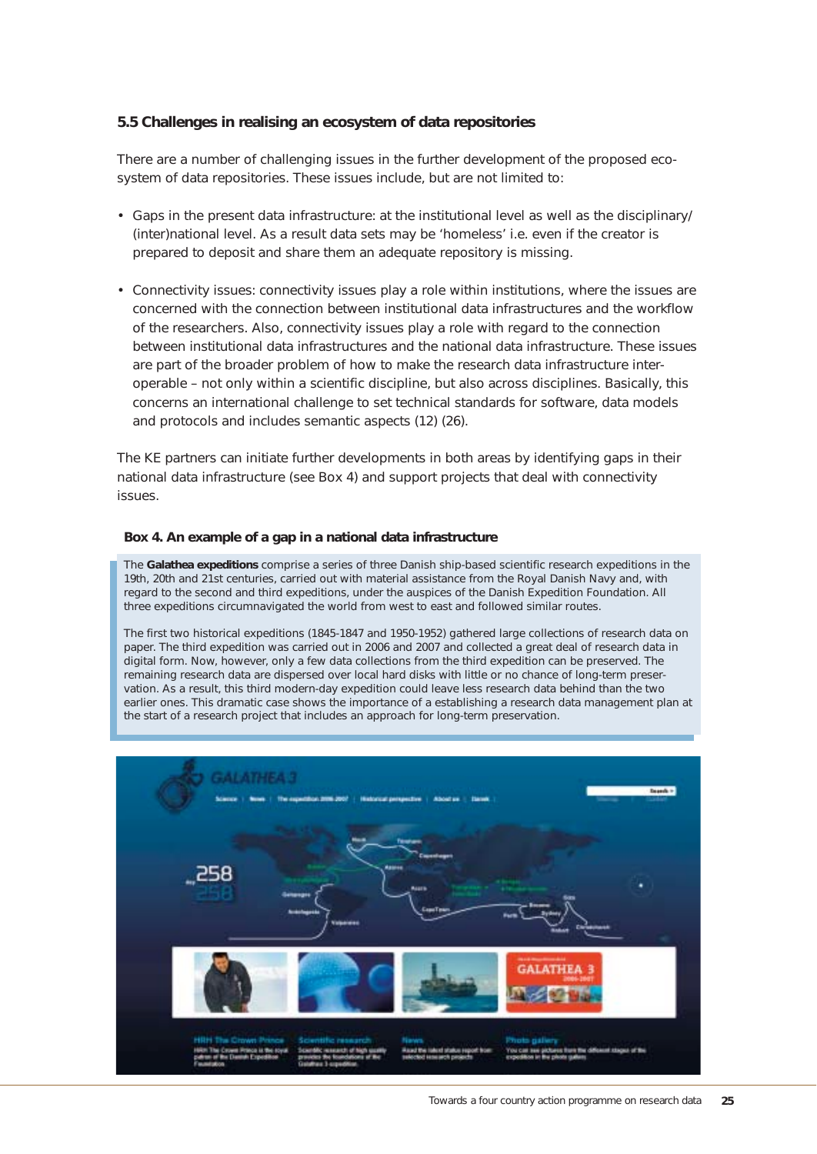### **5.5 Challenges in realising an ecosystem of data repositories**

There are a number of challenging issues in the further development of the proposed ecosystem of data repositories. These issues include, but are not limited to:

- Gaps in the present data infrastructure: at the institutional level as well as the disciplinary/ (inter)national level. As a result data sets may be 'homeless' i.e. even if the creator is prepared to deposit and share them an adequate repository is missing.
- Connectivity issues: connectivity issues play a role within institutions, where the issues are concerned with the connection between institutional data infrastructures and the workflow of the researchers. Also, connectivity issues play a role with regard to the connection between institutional data infrastructures and the national data infrastructure. These issues are part of the broader problem of how to make the research data infrastructure interoperable – not only within a scientific discipline, but also across disciplines. Basically, this concerns an international challenge to set technical standards for software, data models and protocols and includes semantic aspects (12) (26).

The KE partners can initiate further developments in both areas by identifying gaps in their national data infrastructure (see Box 4) and support projects that deal with connectivity issues.

### **Box 4. An example of a gap in a national data infrastructure**

The **Galathea expeditions** comprise a series of three Danish ship-based scientific research expeditions in the 19th, 20th and 21st centuries, carried out with material assistance from the Royal Danish Navy and, with regard to the second and third expeditions, under the auspices of the Danish Expedition Foundation. All three expeditions circumnavigated the world from west to east and followed similar routes.

The first two historical expeditions (1845-1847 and 1950-1952) gathered large collections of research data on paper. The third expedition was carried out in 2006 and 2007 and collected a great deal of research data in digital form. Now, however, only a few data collections from the third expedition can be preserved. The remaining research data are dispersed over local hard disks with little or no chance of long-term preservation. As a result, this third modern-day expedition could leave less research data behind than the two earlier ones. This dramatic case shows the importance of a establishing a research data management plan at the start of a research project that includes an approach for long-term preservation.

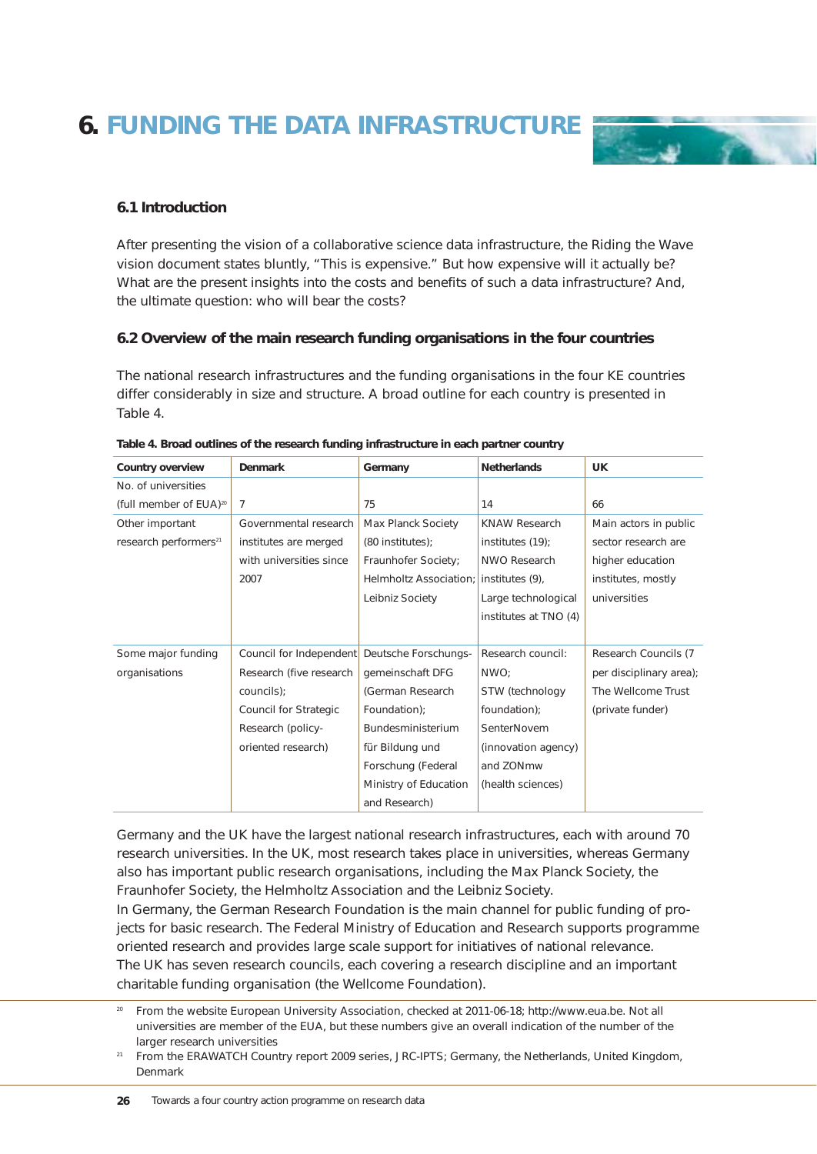# **6. FUNDING THE DATA INFRASTRUCTURE**



# **6.1 Introduction**

After presenting the vision of a collaborative science data infrastructure, the *Riding the Wave* vision document states bluntly, "This is expensive." But how expensive will it actually be? What are the present insights into the costs and benefits of such a data infrastructure? And, the ultimate question: who will bear the costs?

# **6.2 Overview of the main research funding organisations in the four countries**

The national research infrastructures and the funding organisations in the four KE countries differ considerably in size and structure. A broad outline for each country is presented in Table 4.

| Country overview                   | <b>Denmark</b>                               | Germany                       | <b>Netherlands</b>    | <b>UK</b>               |
|------------------------------------|----------------------------------------------|-------------------------------|-----------------------|-------------------------|
| No. of universities                |                                              |                               |                       |                         |
| (full member of EUA) <sup>20</sup> | 7                                            | 75                            | 14                    | 66                      |
| Other important                    | Governmental research                        | Max Planck Society            | <b>KNAW Research</b>  | Main actors in public   |
| research performers <sup>21</sup>  | institutes are merged                        | $(80$ institutes);            | institutes (19);      | sector research are     |
|                                    | with universities since                      | Fraunhofer Society;           | NWO Research          | higher education        |
|                                    | 2007                                         | <b>Helmholtz Association:</b> | institutes (9),       | institutes, mostly      |
|                                    |                                              | Leibniz Society               | Large technological   | universities            |
|                                    |                                              |                               | institutes at TNO (4) |                         |
|                                    |                                              |                               |                       |                         |
| Some major funding                 | Council for Independent Deutsche Forschungs- |                               | Research council:     | Research Councils (7    |
| organisations                      | Research (five research                      | gemeinschaft DFG              | NWO:                  | per disciplinary area); |
|                                    | councils);                                   | (German Research              | STW (technology       | The Wellcome Trust      |
|                                    | Council for Strategic                        | Foundation);                  | foundation);          | (private funder)        |
|                                    | Research (policy-                            | <b>Bundesministerium</b>      | SenterNovem           |                         |
|                                    | oriented research)                           | für Bildung und               | (innovation agency)   |                         |
|                                    |                                              | Forschung (Federal            | and ZONmw             |                         |
|                                    |                                              | Ministry of Education         | (health sciences)     |                         |
|                                    |                                              | and Research)                 |                       |                         |

#### **Table 4. Broad outlines of the research funding infrastructure in each partner country**

Germany and the UK have the largest national research infrastructures, each with around 70 research universities. In the UK, most research takes place in universities, whereas Germany also has important public research organisations, including the Max Planck Society, the Fraunhofer Society, the Helmholtz Association and the Leibniz Society.

In Germany, the German Research Foundation is the main channel for public funding of projects for basic research. The Federal Ministry of Education and Research supports programme oriented research and provides large scale support for initiatives of national relevance. The UK has seven research councils, each covering a research discipline and an important charitable funding organisation (the Wellcome Foundation).

- <sup>20</sup> From the website European University Association, checked at 2011-06-18; http://www.eua.be. Not all universities are member of the EUA, but these numbers give an overall indication of the number of the larger research universities
- <sup>21</sup> From the ERAWATCH Country report 2009 series, JRC-IPTS; Germany, the Netherlands, United Kingdom, Denmark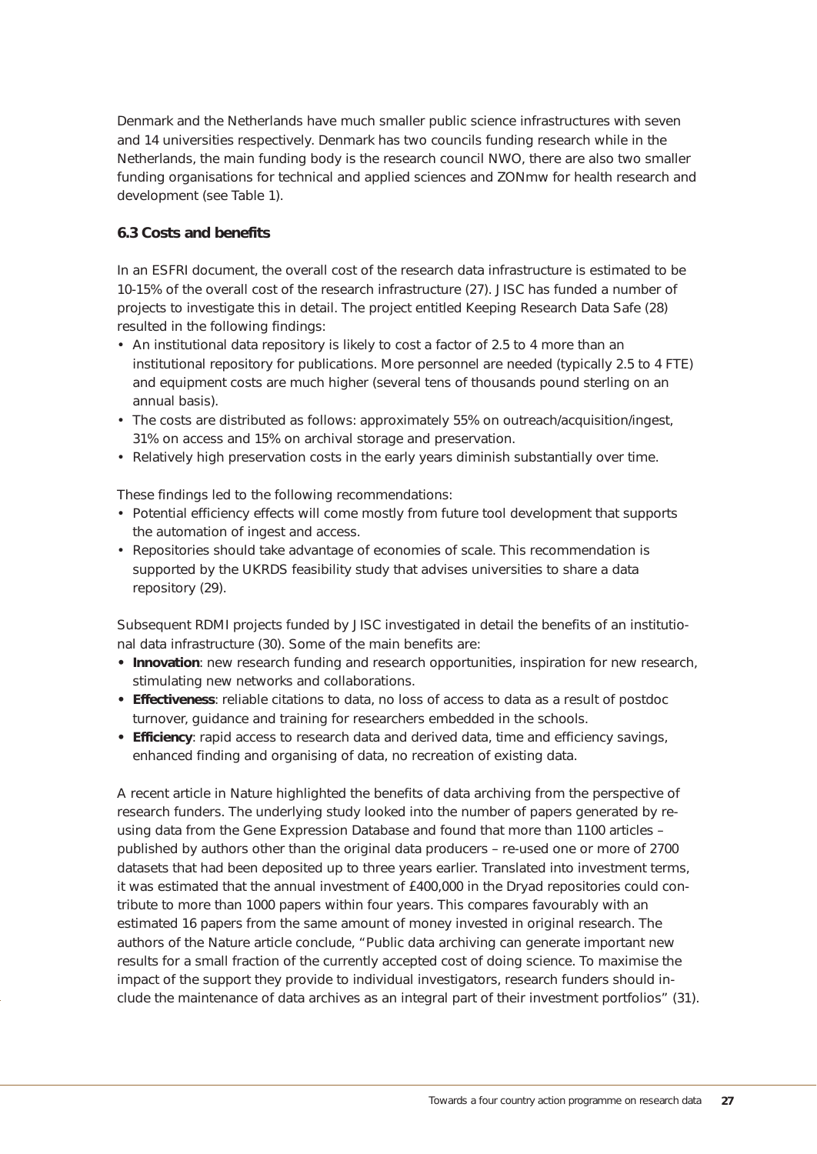Denmark and the Netherlands have much smaller public science infrastructures with seven and 14 universities respectively. Denmark has two councils funding research while in the Netherlands, the main funding body is the research council NWO, there are also two smaller funding organisations for technical and applied sciences and ZONmw for health research and development (see Table 1).

# **6.3 Costs and benefits**

In an ESFRI document, the overall cost of the research data infrastructure is estimated to be 10-15% of the overall cost of the research infrastructure (27). JISC has funded a number of projects to investigate this in detail. The project entitled Keeping Research Data Safe (28) resulted in the following findings:

- An institutional data repository is likely to cost a factor of 2.5 to 4 more than an institutional repository for publications. More personnel are needed (typically 2.5 to 4 FTE) and equipment costs are much higher (several tens of thousands pound sterling on an annual basis).
- The costs are distributed as follows: approximately 55% on outreach/acquisition/ingest, 31% on access and 15% on archival storage and preservation.
- Relatively high preservation costs in the early years diminish substantially over time.

These findings led to the following recommendations:

- Potential efficiency effects will come mostly from future tool development that supports the automation of ingest and access.
- Repositories should take advantage of economies of scale. This recommendation is supported by the UKRDS feasibility study that advises universities to share a data repository (29).

Subsequent RDMI projects funded by JISC investigated in detail the benefits of an institutional data infrastructure (30). Some of the main benefits are:

- **Innovation**: new research funding and research opportunities, inspiration for new research, stimulating new networks and collaborations.
- **• Effectiveness**: reliable citations to data, no loss of access to data as a result of postdoc turnover, guidance and training for researchers embedded in the schools.
- **Efficiency**: rapid access to research data and derived data, time and efficiency savings, enhanced finding and organising of data, no recreation of existing data.

A recent article in *Nature* highlighted the benefits of data archiving from the perspective of research funders. The underlying study looked into the number of papers generated by reusing data from the Gene Expression Database and found that more than 1100 articles – published by authors other than the original data producers – re-used one or more of 2700 datasets that had been deposited up to three years earlier. Translated into investment terms, it was estimated that the annual investment of £400,000 in the Dryad repositories could contribute to more than 1000 papers within four years. This compares favourably with an estimated 16 papers from the same amount of money invested in original research. The authors of the *Nature* article conclude, "Public data archiving can generate important new results for a small fraction of the currently accepted cost of doing science. To maximise the impact of the support they provide to individual investigators, research funders should include the maintenance of data archives as an integral part of their investment portfolios" (31).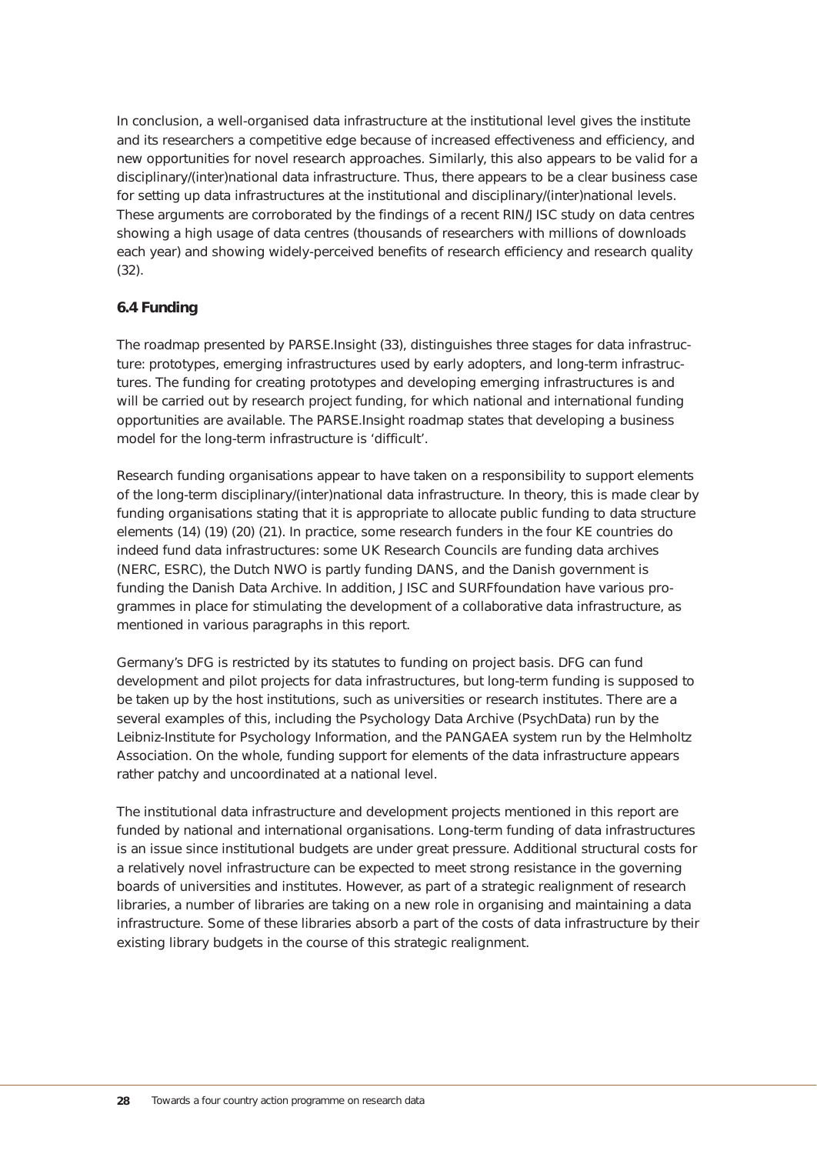In conclusion, a well-organised data infrastructure at the institutional level gives the institute and its researchers a competitive edge because of increased effectiveness and efficiency, and new opportunities for novel research approaches. Similarly, this also appears to be valid for a disciplinary/(inter)national data infrastructure. Thus, there appears to be a clear business case for setting up data infrastructures at the institutional and disciplinary/(inter)national levels. These arguments are corroborated by the findings of a recent RIN/JISC study on data centres showing a high usage of data centres (thousands of researchers with millions of downloads each year) and showing widely-perceived benefits of research efficiency and research quality (32).

# **6.4 Funding**

The roadmap presented by PARSE.Insight (33), distinguishes three stages for data infrastructure: prototypes, emerging infrastructures used by early adopters, and long-term infrastructures. The funding for creating prototypes and developing emerging infrastructures is and will be carried out by research project funding, for which national and international funding opportunities are available. The PARSE.Insight roadmap states that developing a business model for the long-term infrastructure is 'difficult'.

Research funding organisations appear to have taken on a responsibility to support elements of the long-term disciplinary/(inter)national data infrastructure. In theory, this is made clear by funding organisations stating that it is appropriate to allocate public funding to data structure elements (14) (19) (20) (21). In practice, some research funders in the four KE countries do indeed fund data infrastructures: some UK Research Councils are funding data archives (NERC, ESRC), the Dutch NWO is partly funding DANS, and the Danish government is funding the Danish Data Archive. In addition, JISC and SURFfoundation have various programmes in place for stimulating the development of a collaborative data infrastructure, as mentioned in various paragraphs in this report.

Germany's DFG is restricted by its statutes to funding on project basis. DFG can fund development and pilot projects for data infrastructures, but long-term funding is supposed to be taken up by the host institutions, such as universities or research institutes. There are a several examples of this, including the Psychology Data Archive (PsychData) run by the Leibniz-Institute for Psychology Information, and the PANGAEA system run by the Helmholtz Association. On the whole, funding support for elements of the data infrastructure appears rather patchy and uncoordinated at a national level.

The institutional data infrastructure and development projects mentioned in this report are funded by national and international organisations. Long-term funding of data infrastructures is an issue since institutional budgets are under great pressure. Additional structural costs for a relatively novel infrastructure can be expected to meet strong resistance in the governing boards of universities and institutes. However, as part of a strategic realignment of research libraries, a number of libraries are taking on a new role in organising and maintaining a data infrastructure. Some of these libraries absorb a part of the costs of data infrastructure by their existing library budgets in the course of this strategic realignment.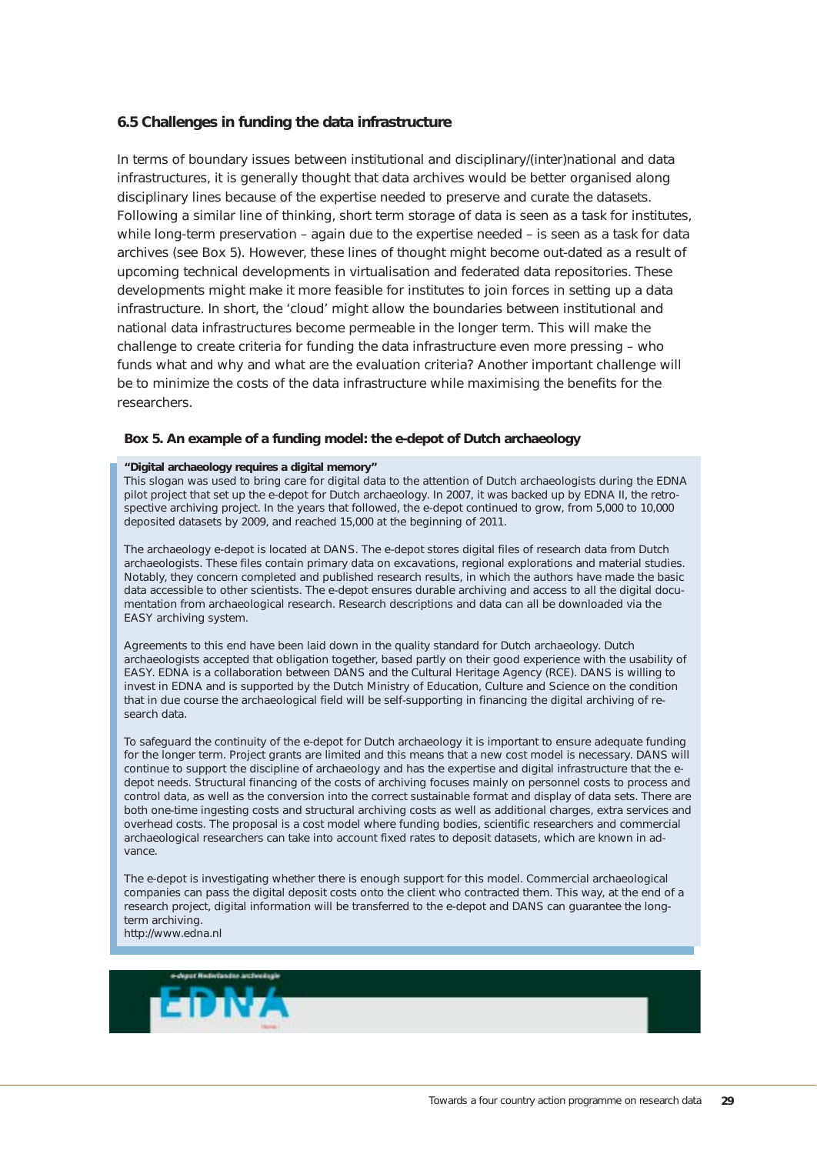# **6.5 Challenges in funding the data infrastructure**

In terms of boundary issues between institutional and disciplinary/(inter)national and data infrastructures, it is generally thought that data archives would be better organised along disciplinary lines because of the expertise needed to preserve and curate the datasets. Following a similar line of thinking, short term storage of data is seen as a task for institutes, while long-term preservation – again due to the expertise needed – is seen as a task for data archives (see Box 5). However, these lines of thought might become out-dated as a result of upcoming technical developments in virtualisation and federated data repositories. These developments might make it more feasible for institutes to join forces in setting up a data infrastructure. In short, the 'cloud' might allow the boundaries between institutional and national data infrastructures become permeable in the longer term. This will make the challenge to create criteria for funding the data infrastructure even more pressing – who funds what and why and what are the evaluation criteria? Another important challenge will be to minimize the costs of the data infrastructure while maximising the benefits for the researchers.

### **Box 5. An example of a funding model: the e-depot of Dutch archaeology**

#### **"Digital archaeology requires a digital memory"**

This slogan was used to bring care for digital data to the attention of Dutch archaeologists during the EDNA pilot project that set up the e-depot for Dutch archaeology. In 2007, it was backed up by EDNA II, the retrospective archiving project. In the years that followed, the e-depot continued to grow, from 5,000 to 10,000 deposited datasets by 2009, and reached 15,000 at the beginning of 2011.

The archaeology e-depot is located at DANS. The e-depot stores digital files of research data from Dutch archaeologists. These files contain primary data on excavations, regional explorations and material studies. Notably, they concern completed and published research results, in which the authors have made the basic data accessible to other scientists. The e-depot ensures durable archiving and access to all the digital documentation from archaeological research. Research descriptions and data can all be downloaded via the EASY archiving system.

Agreements to this end have been laid down in the quality standard for Dutch archaeology. Dutch archaeologists accepted that obligation together, based partly on their good experience with the usability of EASY. EDNA is a collaboration between DANS and the Cultural Heritage Agency (RCE). DANS is willing to invest in EDNA and is supported by the Dutch Ministry of Education, Culture and Science on the condition that in due course the archaeological field will be self-supporting in financing the digital archiving of research data.

To safeguard the continuity of the e-depot for Dutch archaeology it is important to ensure adequate funding for the longer term. Project grants are limited and this means that a new cost model is necessary. DANS will continue to support the discipline of archaeology and has the expertise and digital infrastructure that the edepot needs. Structural financing of the costs of archiving focuses mainly on personnel costs to process and control data, as well as the conversion into the correct sustainable format and display of data sets. There are both one-time ingesting costs and structural archiving costs as well as additional charges, extra services and overhead costs. The proposal is a cost model where funding bodies, scientific researchers and commercial archaeological researchers can take into account fixed rates to deposit datasets, which are known in advance.

The e-depot is investigating whether there is enough support for this model. Commercial archaeological companies can pass the digital deposit costs onto the client who contracted them. This way, at the end of a research project, digital information will be transferred to the e-depot and DANS can guarantee the longterm archiving. http://www.edna.nl

EDIY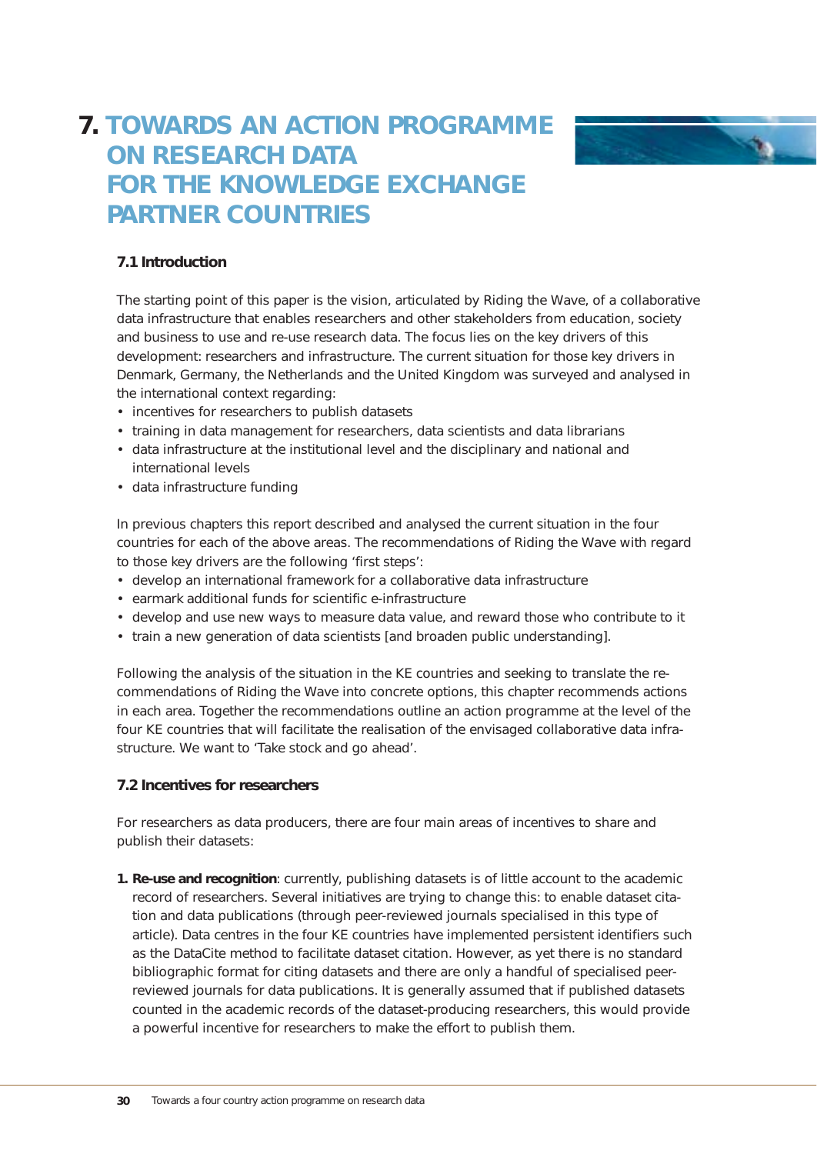

# **7. TOWARDS AN ACTION PROGRAMME ON RESEARCH DATA FOR THE KNOWLEDGE EXCHANGE PARTNER COUNTRIES**

# **7.1 Introduction**

The starting point of this paper is the vision, articulated by *Riding the Wave*, of a collaborative data infrastructure that enables researchers and other stakeholders from education, society and business to use and re-use research data. The focus lies on the key drivers of this development: researchers and infrastructure. The current situation for those key drivers in Denmark, Germany, the Netherlands and the United Kingdom was surveyed and analysed in the international context regarding:

- incentives for researchers to publish datasets
- training in data management for researchers, data scientists and data librarians
- data infrastructure at the institutional level and the disciplinary and national and international levels
- data infrastructure funding

In previous chapters this report described and analysed the current situation in the four countries for each of the above areas. The recommendations of *Riding the Wave* with regard to those key drivers are the following 'first steps':

- develop an international framework for a collaborative data infrastructure
- earmark additional funds for scientific e-infrastructure
- develop and use new ways to measure data value, and reward those who contribute to it
- train a new generation of data scientists [and broaden public understanding].

Following the analysis of the situation in the KE countries and seeking to translate the recommendations of *Riding the Wave* into concrete options, this chapter recommends actions in each area. Together the recommendations outline an action programme at the level of the four KE countries that will facilitate the realisation of the envisaged collaborative data infrastructure. We want to 'Take stock and go ahead'.

# **7.2 Incentives for researchers**

For researchers as data producers, there are four main areas of incentives to share and publish their datasets:

**1. Re-use and recognition**: currently, publishing datasets is of little account to the academic record of researchers. Several initiatives are trying to change this: to enable dataset citation and data publications (through peer-reviewed journals specialised in this type of article). Data centres in the four KE countries have implemented persistent identifiers such as the DataCite method to facilitate dataset citation. However, as yet there is no standard bibliographic format for citing datasets and there are only a handful of specialised peerreviewed journals for data publications. It is generally assumed that if published datasets counted in the academic records of the dataset-producing researchers, this would provide a powerful incentive for researchers to make the effort to publish them.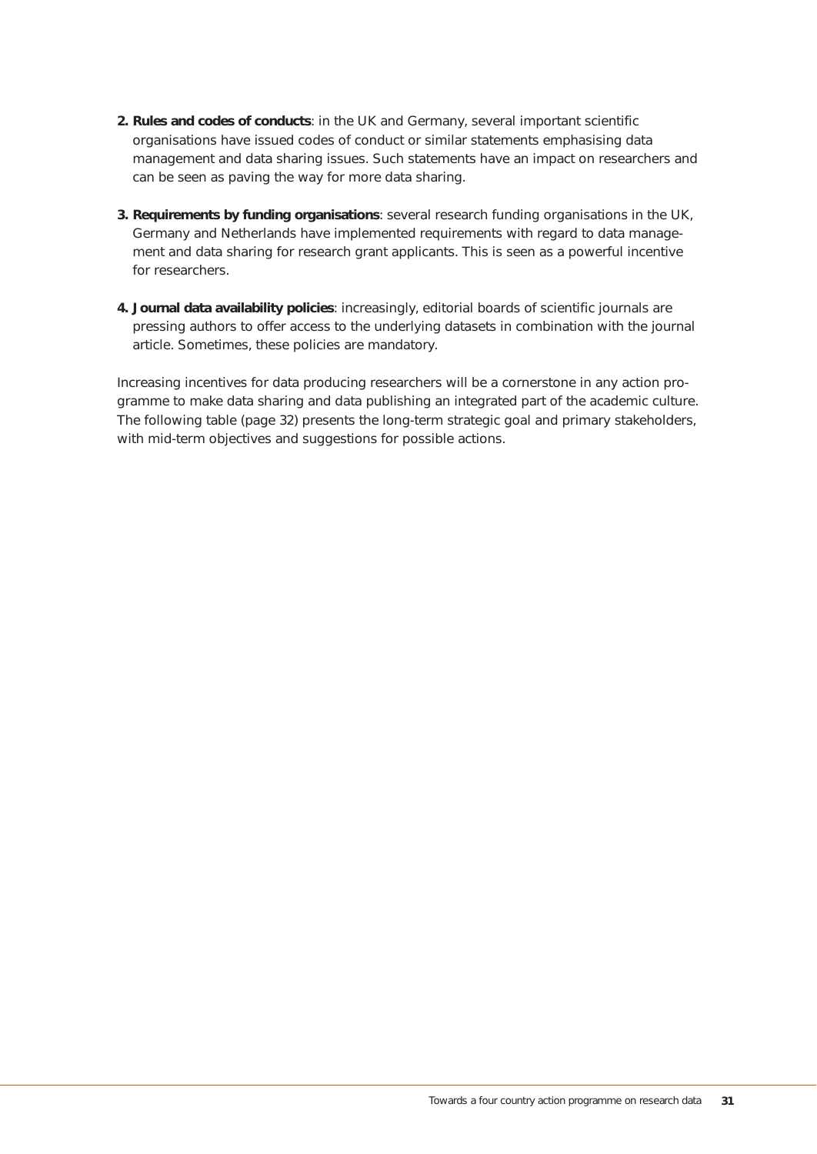- **2. Rules and codes of conducts**: in the UK and Germany, several important scientific organisations have issued codes of conduct or similar statements emphasising data management and data sharing issues. Such statements have an impact on researchers and can be seen as paving the way for more data sharing.
- **3. Requirements by funding organisations**: several research funding organisations in the UK, Germany and Netherlands have implemented requirements with regard to data management and data sharing for research grant applicants. This is seen as a powerful incentive for researchers.
- **4. Journal data availability policies**: increasingly, editorial boards of scientific journals are pressing authors to offer access to the underlying datasets in combination with the journal article. Sometimes, these policies are mandatory.

Increasing incentives for data producing researchers will be a cornerstone in any action programme to make data sharing and data publishing an integrated part of the academic culture. The following table (page 32) presents the long-term strategic goal and primary stakeholders, with mid-term objectives and suggestions for possible actions.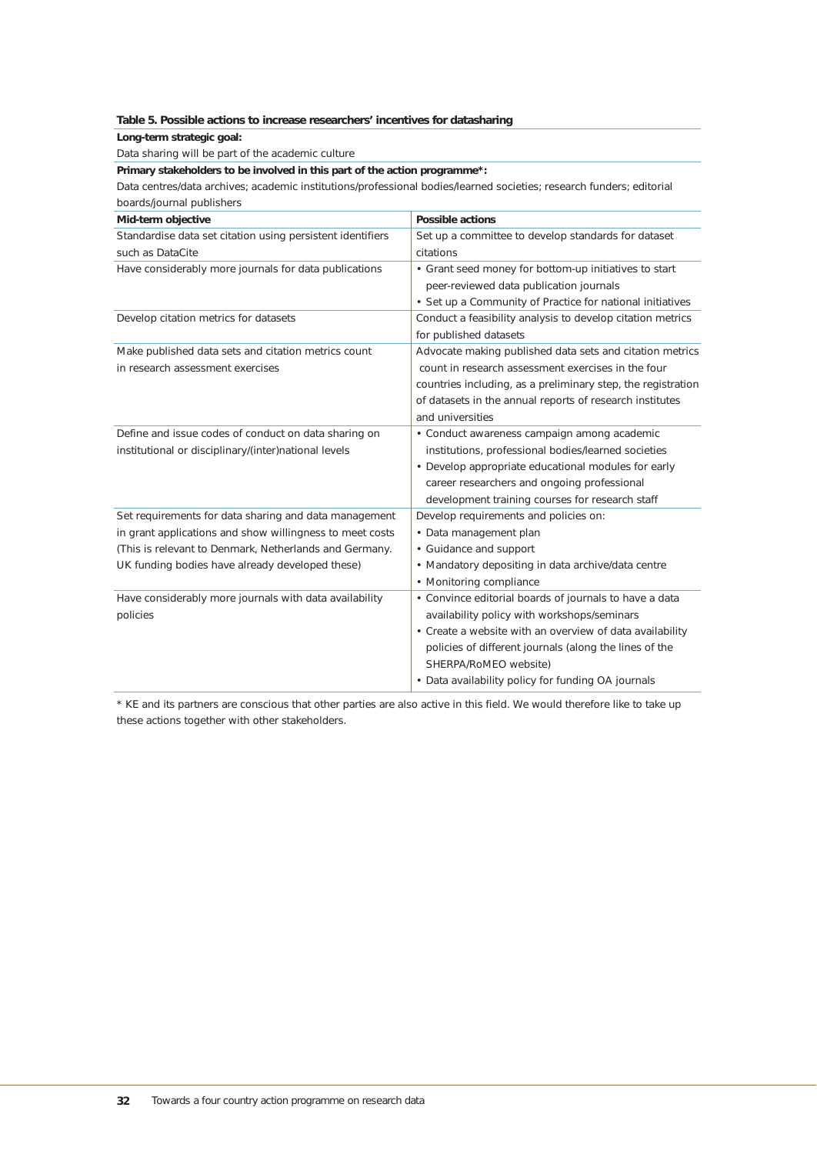### **Table 5. Possible actions to increase researchers' incentives for datasharing**

#### **Long-term strategic goal:**

*Data sharing will be part of the academic culture*

**Primary stakeholders to be involved in this part of the action programme\*:**

*Data centres/data archives; academic institutions/professional bodies/learned societies; research funders; editorial boards/journal publishers*

| Mid-term objective                                         | Possible actions                                             |
|------------------------------------------------------------|--------------------------------------------------------------|
| Standardise data set citation using persistent identifiers | Set up a committee to develop standards for dataset          |
| such as DataCite                                           | citations                                                    |
| Have considerably more journals for data publications      | • Grant seed money for bottom-up initiatives to start        |
|                                                            | peer-reviewed data publication journals                      |
|                                                            | • Set up a Community of Practice for national initiatives    |
| Develop citation metrics for datasets                      | Conduct a feasibility analysis to develop citation metrics   |
|                                                            | for published datasets                                       |
| Make published data sets and citation metrics count        | Advocate making published data sets and citation metrics     |
| in research assessment exercises                           | count in research assessment exercises in the four           |
|                                                            | countries including, as a preliminary step, the registration |
|                                                            | of datasets in the annual reports of research institutes     |
|                                                            | and universities                                             |
| Define and issue codes of conduct on data sharing on       | • Conduct awareness campaign among academic                  |
| institutional or disciplinary/(inter)national levels       | institutions, professional bodies/learned societies          |
|                                                            | • Develop appropriate educational modules for early          |
|                                                            | career researchers and ongoing professional                  |
|                                                            | development training courses for research staff              |
| Set requirements for data sharing and data management      | Develop requirements and policies on:                        |
| in grant applications and show willingness to meet costs   | • Data management plan                                       |
| (This is relevant to Denmark, Netherlands and Germany.     | • Guidance and support                                       |
| UK funding bodies have already developed these)            | · Mandatory depositing in data archive/data centre           |
|                                                            | • Monitoring compliance                                      |
| Have considerably more journals with data availability     | • Convince editorial boards of journals to have a data       |
| policies                                                   | availability policy with workshops/seminars                  |
|                                                            | • Create a website with an overview of data availability     |
|                                                            | policies of different journals (along the lines of the       |
|                                                            | SHERPA/RoMEO website)                                        |
|                                                            | • Data availability policy for funding OA journals           |
|                                                            |                                                              |

\* KE and its partners are conscious that other parties are also active in this field. We would therefore like to take up these actions together with other stakeholders.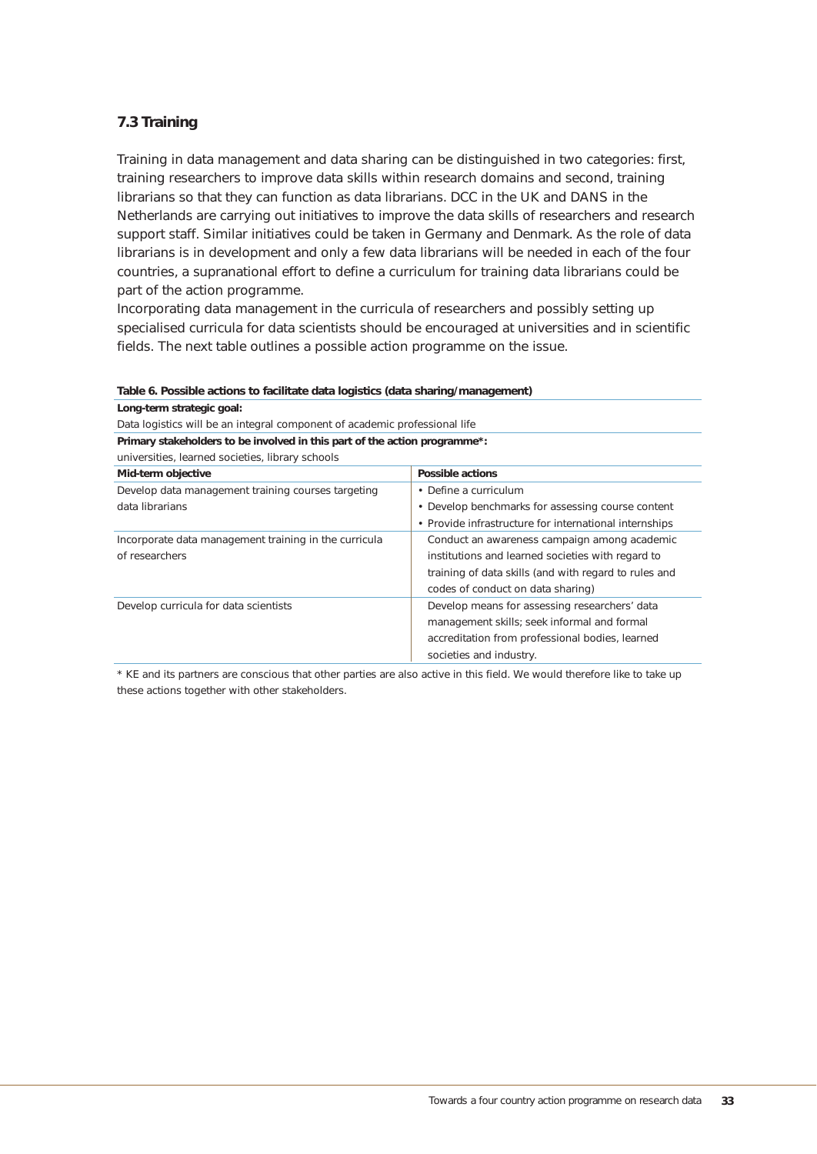# **7.3 Training**

Training in data management and data sharing can be distinguished in two categories: first, training researchers to improve data skills within research domains and second, training librarians so that they can function as data librarians. DCC in the UK and DANS in the Netherlands are carrying out initiatives to improve the data skills of researchers and research support staff. Similar initiatives could be taken in Germany and Denmark. As the role of data librarians is in development and only a few data librarians will be needed in each of the four countries, a supranational effort to define a curriculum for training data librarians could be part of the action programme.

Incorporating data management in the curricula of researchers and possibly setting up specialised curricula for data scientists should be encouraged at universities and in scientific fields. The next table outlines a possible action programme on the issue.

| Long-term strategic goal:                                                  |                     |  |  |  |
|----------------------------------------------------------------------------|---------------------|--|--|--|
| Data logistics will be an integral component of academic professional life |                     |  |  |  |
| Primary stakeholders to be involved in this part of the action programme*: |                     |  |  |  |
| universities, learned societies, library schools                           |                     |  |  |  |
| Mid-term objective<br>Possible actions                                     |                     |  |  |  |
| Douglan data managament training courses torgeting                         | Dofine a querioutum |  |  |  |

**Table 6. Possible actions to facilitate data logistics (data sharing/management)**

| Develop data management training courses targeting    | • Define a curriculum                                  |  |  |
|-------------------------------------------------------|--------------------------------------------------------|--|--|
| data librarians                                       | • Develop benchmarks for assessing course content      |  |  |
|                                                       | • Provide infrastructure for international internships |  |  |
| Incorporate data management training in the curricula | Conduct an awareness campaign among academic           |  |  |
| of researchers                                        | institutions and learned societies with regard to      |  |  |
|                                                       | training of data skills (and with regard to rules and  |  |  |
|                                                       | codes of conduct on data sharing)                      |  |  |
| Develop curricula for data scientists                 | Develop means for assessing researchers' data          |  |  |
|                                                       | management skills; seek informal and formal            |  |  |
|                                                       | accreditation from professional bodies, learned        |  |  |
|                                                       | societies and industry.                                |  |  |

\* KE and its partners are conscious that other parties are also active in this field. We would therefore like to take up these actions together with other stakeholders.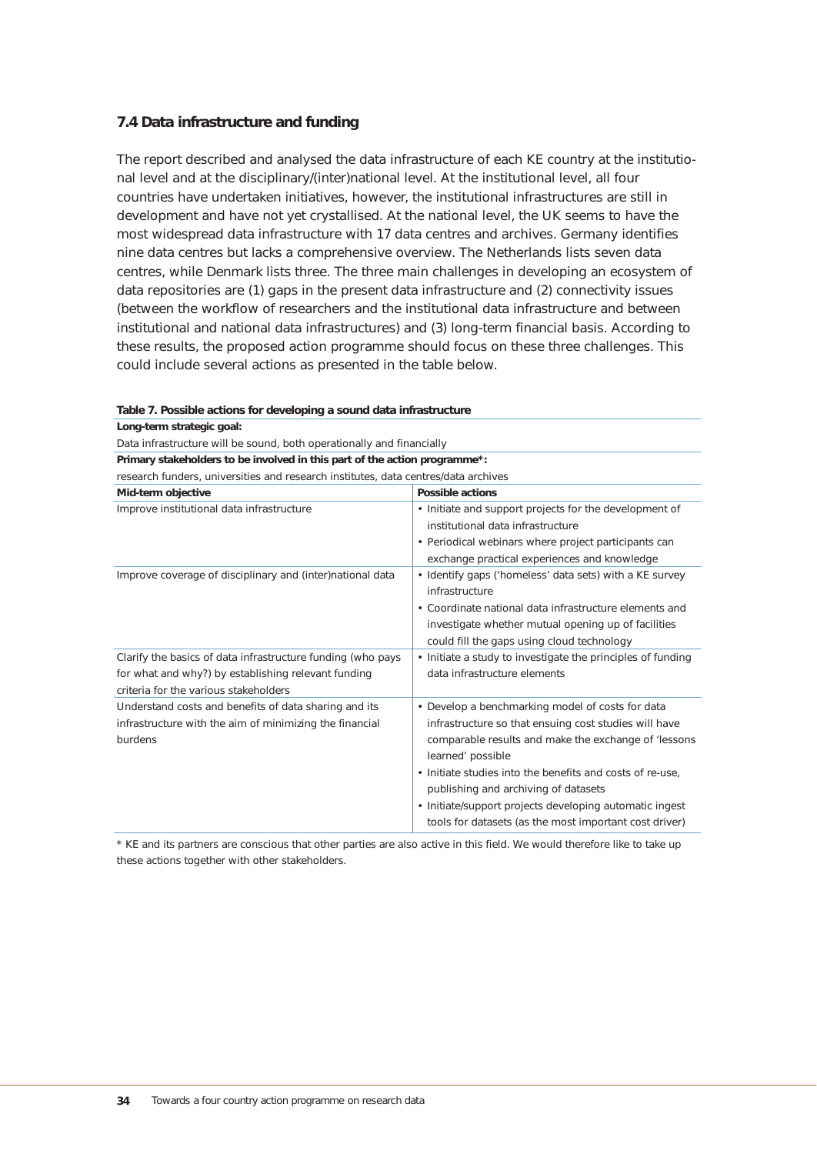# **7.4 Data infrastructure and funding**

The report described and analysed the data infrastructure of each KE country at the institutional level and at the disciplinary/(inter)national level. At the institutional level, all four countries have undertaken initiatives, however, the institutional infrastructures are still in development and have not yet crystallised. At the national level, the UK seems to have the most widespread data infrastructure with 17 data centres and archives. Germany identifies nine data centres but lacks a comprehensive overview. The Netherlands lists seven data centres, while Denmark lists three. The three main challenges in developing an ecosystem of data repositories are (1) gaps in the present data infrastructure and (2) connectivity issues (between the workflow of researchers and the institutional data infrastructure and between institutional and national data infrastructures) and (3) long-term financial basis. According to these results, the proposed action programme should focus on these three challenges. This could include several actions as presented in the table below.

| Long-term strategic goal:                                                                                                                                   |                                                                                                                                                                                                                                                                                                                                                                                                                  |
|-------------------------------------------------------------------------------------------------------------------------------------------------------------|------------------------------------------------------------------------------------------------------------------------------------------------------------------------------------------------------------------------------------------------------------------------------------------------------------------------------------------------------------------------------------------------------------------|
| Data infrastructure will be sound, both operationally and financially                                                                                       |                                                                                                                                                                                                                                                                                                                                                                                                                  |
| Primary stakeholders to be involved in this part of the action programme*:                                                                                  |                                                                                                                                                                                                                                                                                                                                                                                                                  |
| research funders, universities and research institutes, data centres/data archives                                                                          |                                                                                                                                                                                                                                                                                                                                                                                                                  |
| Mid-term objective                                                                                                                                          | Possible actions                                                                                                                                                                                                                                                                                                                                                                                                 |
| Improve institutional data infrastructure                                                                                                                   | . Initiate and support projects for the development of<br>institutional data infrastructure<br>• Periodical webinars where project participants can<br>exchange practical experiences and knowledge                                                                                                                                                                                                              |
| Improve coverage of disciplinary and (inter)national data                                                                                                   | • Identify gaps ('homeless' data sets) with a KE survey<br>infrastructure<br>• Coordinate national data infrastructure elements and<br>investigate whether mutual opening up of facilities<br>could fill the gaps using cloud technology                                                                                                                                                                         |
| Clarify the basics of data infrastructure funding (who pays<br>for what and why?) by establishing relevant funding<br>criteria for the various stakeholders | • Initiate a study to investigate the principles of funding<br>data infrastructure elements                                                                                                                                                                                                                                                                                                                      |
| Understand costs and benefits of data sharing and its<br>infrastructure with the aim of minimizing the financial<br>burdens                                 | • Develop a benchmarking model of costs for data<br>infrastructure so that ensuing cost studies will have<br>comparable results and make the exchange of 'lessons<br>learned' possible<br>. Initiate studies into the benefits and costs of re-use.<br>publishing and archiving of datasets<br>• Initiate/support projects developing automatic ingest<br>tools for datasets (as the most important cost driver) |

### **Table 7. Possible actions for developing a sound data infrastructure**

\* KE and its partners are conscious that other parties are also active in this field. We would therefore like to take up these actions together with other stakeholders.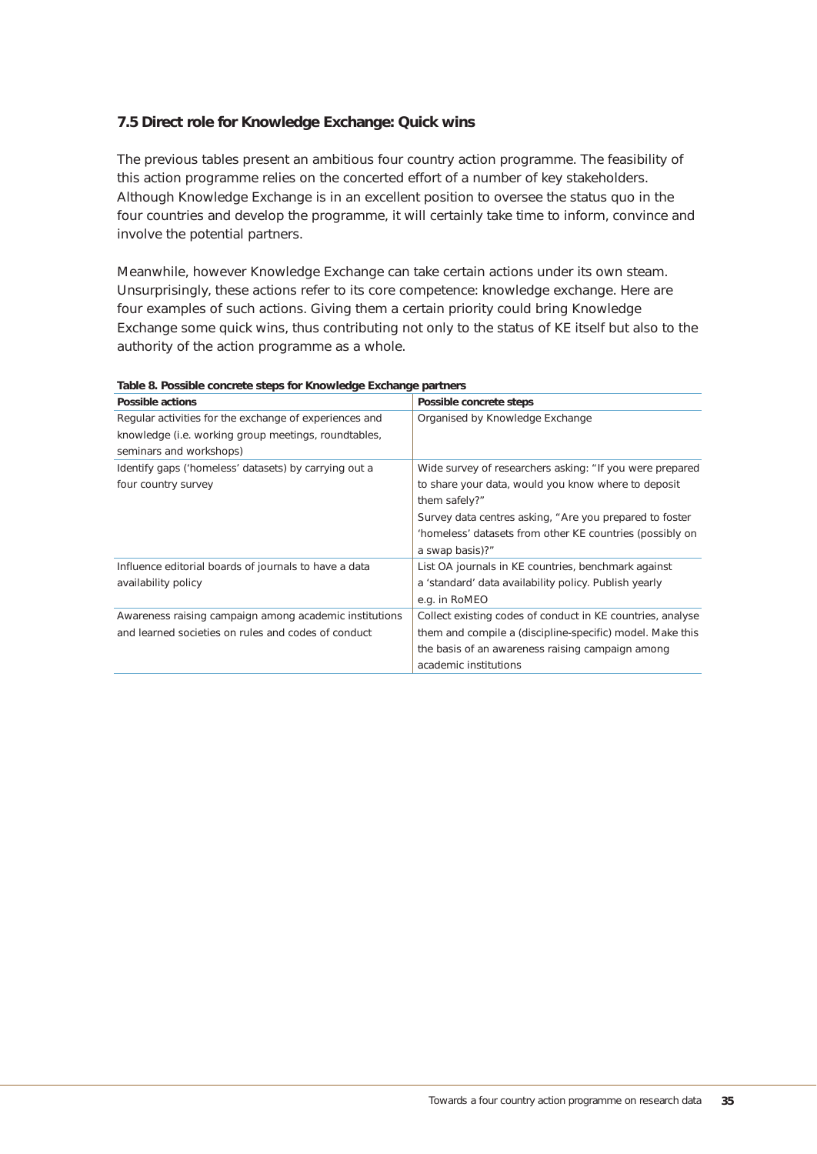# **7.5 Direct role for Knowledge Exchange: Quick wins**

The previous tables present an ambitious four country action programme. The feasibility of this action programme relies on the concerted effort of a number of key stakeholders. Although Knowledge Exchange is in an excellent position to oversee the status quo in the four countries and develop the programme, it will certainly take time to inform, convince and involve the potential partners.

Meanwhile, however Knowledge Exchange can take certain actions under its own steam. Unsurprisingly, these actions refer to its core competence: knowledge exchange. Here are four examples of such actions. Giving them a certain priority could bring Knowledge Exchange some quick wins, thus contributing not only to the status of KE itself but also to the authority of the action programme as a whole.

| Possible actions                                       | Possible concrete steps                                    |
|--------------------------------------------------------|------------------------------------------------------------|
| Regular activities for the exchange of experiences and | Organised by Knowledge Exchange                            |
| knowledge (i.e. working group meetings, roundtables,   |                                                            |
| seminars and workshops)                                |                                                            |
| Identify gaps ('homeless' datasets) by carrying out a  | Wide survey of researchers asking: "If you were prepared   |
| four country survey                                    | to share your data, would you know where to deposit        |
|                                                        | them safely?"                                              |
|                                                        | Survey data centres asking, "Are you prepared to foster    |
|                                                        | 'homeless' datasets from other KE countries (possibly on   |
|                                                        | a swap basis)?"                                            |
| Influence editorial boards of journals to have a data  | List OA journals in KE countries, benchmark against        |
| availability policy                                    | a 'standard' data availability policy. Publish yearly      |
|                                                        | e.g. in RoMEO                                              |
| Awareness raising campaign among academic institutions | Collect existing codes of conduct in KE countries, analyse |
| and learned societies on rules and codes of conduct    | them and compile a (discipline-specific) model. Make this  |
|                                                        | the basis of an awareness raising campaign among           |
|                                                        | academic institutions                                      |

|  |  |  | Table 8. Possible concrete steps for Knowledge Exchange partners |  |
|--|--|--|------------------------------------------------------------------|--|
|  |  |  |                                                                  |  |
|  |  |  |                                                                  |  |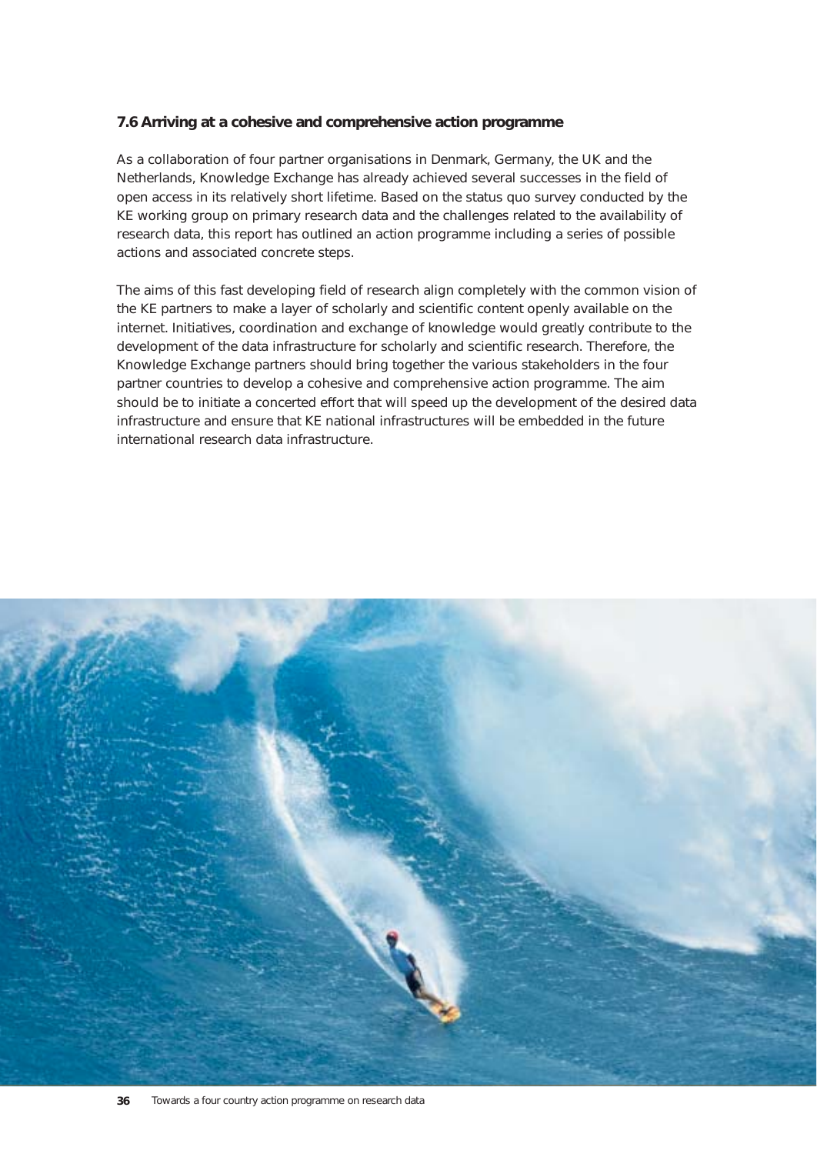# **7.6 Arriving at a cohesive and comprehensive action programme**

As a collaboration of four partner organisations in Denmark, Germany, the UK and the Netherlands, Knowledge Exchange has already achieved several successes in the field of open access in its relatively short lifetime. Based on the status quo survey conducted by the KE working group on primary research data and the challenges related to the availability of research data, this report has outlined an action programme including a series of possible actions and associated concrete steps.

The aims of this fast developing field of research align completely with the common vision of the KE partners to make a layer of scholarly and scientific content openly available on the internet. Initiatives, coordination and exchange of knowledge would greatly contribute to the development of the data infrastructure for scholarly and scientific research. Therefore, the Knowledge Exchange partners should bring together the various stakeholders in the four partner countries to develop a cohesive and comprehensive action programme. The aim should be to initiate a concerted effort that will speed up the development of the desired data infrastructure and ensure that KE national infrastructures will be embedded in the future international research data infrastructure.

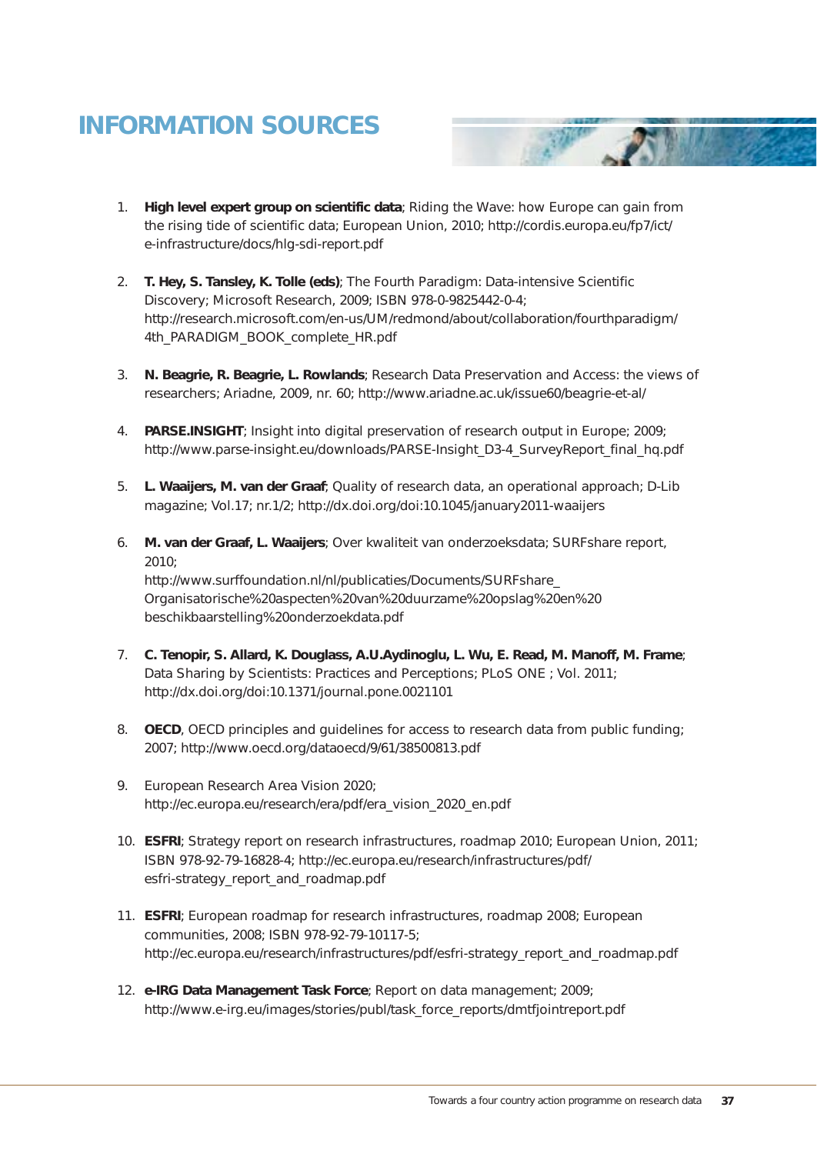# **INFORMATION SOURCES**

- 1. **High level expert group on scientific data**; *Riding the Wave: how Europe can gain from the rising tide of scientific data*; European Union, 2010; http://cordis.europa.eu/fp7/ict/ e-infrastructure/docs/hlg-sdi-report.pdf
- 2. **T. Hey, S. Tansley, K. Tolle (eds)**; *The Fourth Paradigm: Data-intensive Scientific Discovery*; Microsoft Research, 2009; ISBN 978-0-9825442-0-4; http://research.microsoft.com/en-us/UM/redmond/about/collaboration/fourthparadigm/ 4th\_PARADIGM\_BOOK\_complete\_HR.pdf
- 3. **N. Beagrie, R. Beagrie, L. Rowlands**; *Research Data Preservation and Access: the views of researchers*; Ariadne, 2009, nr. 60; http://www.ariadne.ac.uk/issue60/beagrie-et-al/
- 4. **PARSE.INSIGHT**; *Insight into digital preservation of research output in Europe*; 2009; http://www.parse-insight.eu/downloads/PARSE-Insight\_D3-4\_SurveyReport\_final\_hq.pdf
- 5. **L. Waaijers, M. van der Graaf**; *Quality of research data, an operational approach*; D-Lib magazine; Vol.17; nr.1/2; http://dx.doi.org/doi:10.1045/january2011-waaijers
- 6. **M. van der Graaf, L. Waaijers**; *Over kwaliteit van onderzoeksdata*; SURFshare report, 2010; http://www.surffoundation.nl/nl/publicaties/Documents/SURFshare\_ Organisatorische%20aspecten%20van%20duurzame%20opslag%20en%20 beschikbaarstelling%20onderzoekdata.pdf
- 7. **C. Tenopir, S. Allard, K. Douglass, A.U.Aydinoglu, L. Wu, E. Read, M. Manoff, M. Frame**; *Data Sharing by Scientists: Practices and Perceptions*; PLoS ONE ; Vol. 2011; http://dx.doi.org/doi:10.1371/journal.pone.0021101
- 8. **OECD**, *OECD principles and guidelines for access to research data from public funding*; 2007; http://www.oecd.org/dataoecd/9/61/38500813.pdf
- 9. *European Research Area Vision 2020*; http://ec.europa.eu/research/era/pdf/era\_vision\_2020\_en.pdf
- 10. **ESFRI**; *Strategy report on research infrastructures, roadmap 2010*; European Union, 2011; ISBN 978-92-79-16828-4; http://ec.europa.eu/research/infrastructures/pdf/ esfri-strategy\_report\_and\_roadmap.pdf
- 11. **ESFRI**; *European roadmap for research infrastructures, roadmap 2008*; European communities, 2008; ISBN 978-92-79-10117-5; http://ec.europa.eu/research/infrastructures/pdf/esfri-strategy\_report\_and\_roadmap.pdf
- 12. **e-IRG Data Management Task Force**; *Report on data management*; 2009; http://www.e-irg.eu/images/stories/publ/task\_force\_reports/dmtfjointreport.pdf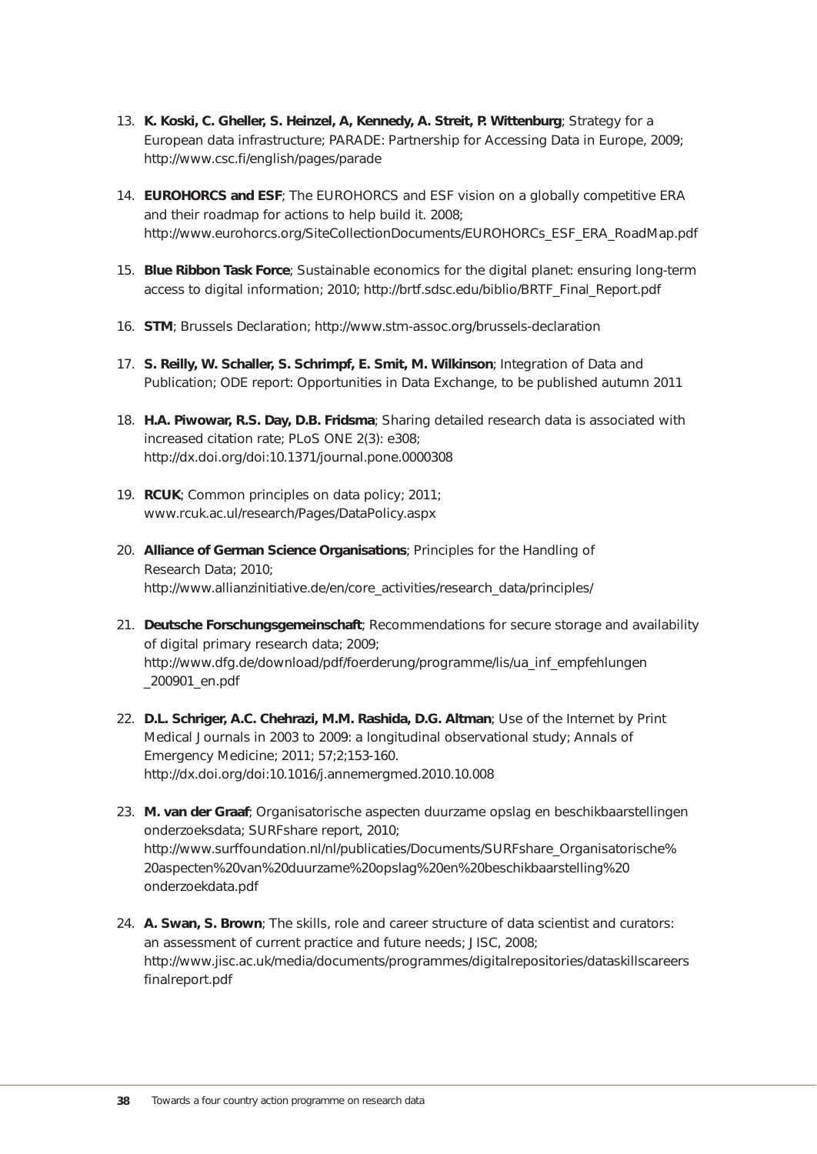- 13. **K. Koski, C. Gheller, S. Heinzel, A, Kennedy, A. Streit, P. Wittenburg**; *Strategy for a European data infrastructure*; PARADE: Partnership for Accessing Data in Europe, 2009; http://www.csc.fi/english/pages/parade
- 14. **EUROHORCS and ESF**; *The EUROHORCS and ESF vision on a globally competitive ERA and their roadmap for actions to help build it*. 2008; http://www.eurohorcs.org/SiteCollectionDocuments/EUROHORCs\_ESF\_ERA\_RoadMap.pdf
- 15. **Blue Ribbon Task Force**; *Sustainable economics for the digital planet: ensuring long-term access to digital information*; 2010; http://brtf.sdsc.edu/biblio/BRTF\_Final\_Report.pdf
- 16. **STM**; *Brussels Declaration*; http://www.stm-assoc.org/brussels-declaration
- 17. **S. Reilly, W. Schaller, S. Schrimpf, E. Smit, M. Wilkinson**; *Integration of Data and Publication*; ODE report: Opportunities in Data Exchange, to be published autumn 2011
- 18. **H.A. Piwowar, R.S. Day, D.B. Fridsma**; *Sharing detailed research data is associated with increased citation rate*; PLoS ONE 2(3): e308; http://dx.doi.org/doi:10.1371/journal.pone.0000308
- 19. **RCUK**; *Common principles on data policy*; 2011; www.rcuk.ac.ul/research/Pages/DataPolicy.aspx
- 20. **Alliance of German Science Organisations**; *Principles for the Handling of Research Data*; 2010; http://www.allianzinitiative.de/en/core\_activities/research\_data/principles/
- 21. **Deutsche Forschungsgemeinschaft**; *Recommendations for secure storage and availability of digital primary research data*; 2009; http://www.dfg.de/download/pdf/foerderung/programme/lis/ua\_inf\_empfehlungen \_200901\_en.pdf
- 22. **D.L. Schriger, A.C. Chehrazi, M.M. Rashida, D.G. Altman**; *Use of the Internet by Print Medical Journals in 2003 to 2009: a longitudinal observational study*; Annals of Emergency Medicine; 2011; 57;2;153-160. http://dx.doi.org/doi:10.1016/j.annemergmed.2010.10.008
- 23. **M. van der Graaf**; *Organisatorische aspecten duurzame opslag en beschikbaarstellingen onderzoeksdata*; SURFshare report, 2010; http://www.surffoundation.nl/nl/publicaties/Documents/SURFshare\_Organisatorische% 20aspecten%20van%20duurzame%20opslag%20en%20beschikbaarstelling%20 onderzoekdata.pdf
- 24. **A. Swan, S. Brown**; *The skills, role and career structure of data scientist and curators: an assessment of current practice and future needs*; JISC, 2008; http://www.jisc.ac.uk/media/documents/programmes/digitalrepositories/dataskillscareers finalreport.pdf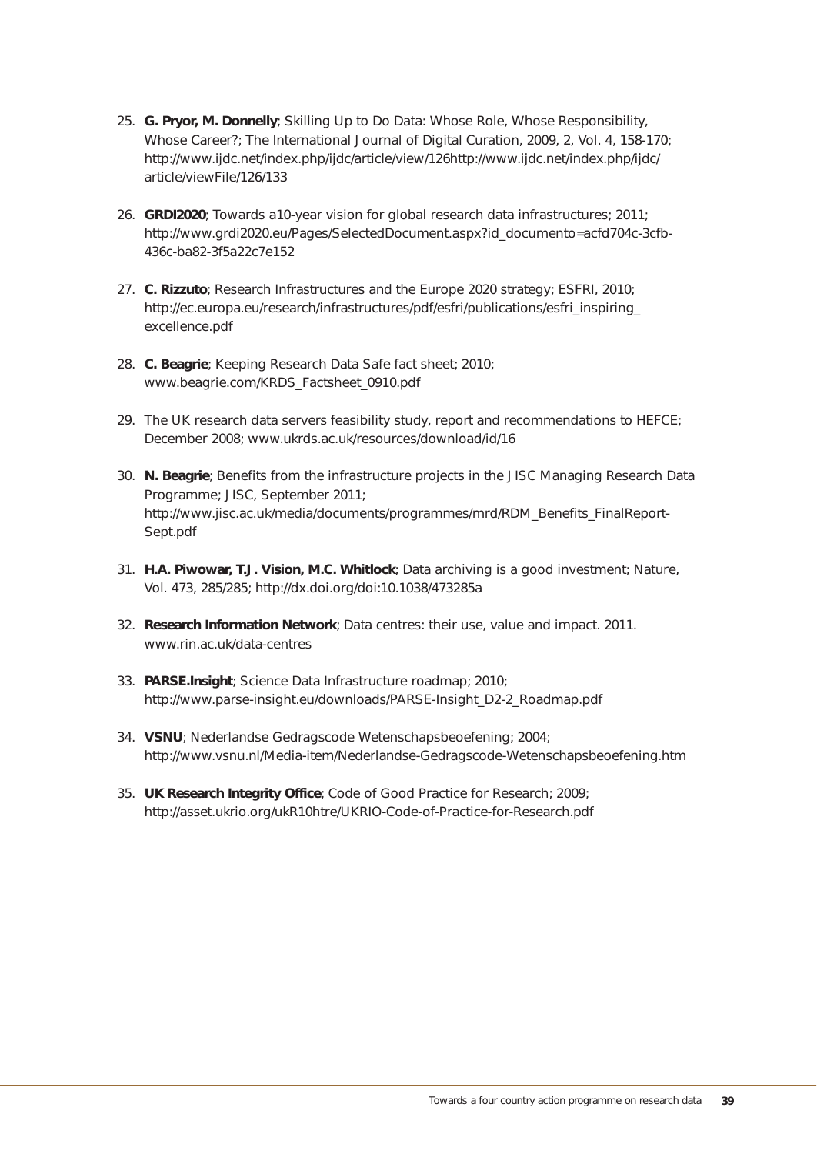- 25. **G. Pryor, M. Donnelly**; *Skilling Up to Do Data: Whose Role, Whose Responsibility, Whose Career?*; The International Journal of Digital Curation, 2009, 2, Vol. 4, 158-170; http://www.ijdc.net/index.php/ijdc/article/view/126http://www.ijdc.net/index.php/ijdc/ article/viewFile/126/133
- 26. **GRDI2020**; *Towards a10-year vision for global research data infrastructures*; 2011; http://www.grdi2020.eu/Pages/SelectedDocument.aspx?id\_documento=acfd704c-3cfb-436c-ba82-3f5a22c7e152
- 27. **C. Rizzuto**; *Research Infrastructures and the Europe 2020 strategy*; ESFRI, 2010; http://ec.europa.eu/research/infrastructures/pdf/esfri/publications/esfri\_inspiring\_ excellence.pdf
- 28. **C. Beagrie**; *Keeping Research Data Safe fact sheet*; 2010; www.beagrie.com/KRDS\_Factsheet\_0910.pdf
- 29. *The UK research data servers feasibility study, report and recommendations to HEFCE*; December 2008; www.ukrds.ac.uk/resources/download/id/16
- 30. **N. Beagrie**; *Benefits from the infrastructure projects in the JISC Managing Research Data Programme*; JISC, September 2011; http://www.jisc.ac.uk/media/documents/programmes/mrd/RDM\_Benefits\_FinalReport-Sept.pdf
- 31. **H.A. Piwowar, T.J. Vision, M.C. Whitlock**; *Data archiving is a good investment*; Nature, Vol. 473, 285/285; http://dx.doi.org/doi:10.1038/473285a
- 32. **Research Information Network**; *Data centres: their use, value and impact*. 2011. www.rin.ac.uk/data-centres
- 33. **PARSE.Insight**; *Science Data Infrastructure roadmap*; 2010; http://www.parse-insight.eu/downloads/PARSE-Insight\_D2-2\_Roadmap.pdf
- 34. **VSNU**; *Nederlandse Gedragscode Wetenschapsbeoefening*; 2004; http://www.vsnu.nl/Media-item/Nederlandse-Gedragscode-Wetenschapsbeoefening.htm
- 35. **UK Research Integrity Office**; *Code of Good Practice for Research*; 2009; http://asset.ukrio.org/ukR10htre/UKRIO-Code-of-Practice-for-Research.pdf